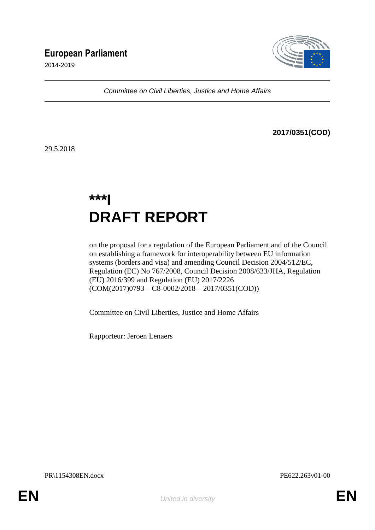# **European Parliament**

2014-2019



*Committee on Civil Liberties, Justice and Home Affairs*

# **2017/0351(COD)**

29.5.2018

# **\*\*\*I DRAFT REPORT**

on the proposal for a regulation of the European Parliament and of the Council on establishing a framework for interoperability between EU information systems (borders and visa) and amending Council Decision 2004/512/EC, Regulation (EC) No 767/2008, Council Decision 2008/633/JHA, Regulation (EU) 2016/399 and Regulation (EU) 2017/2226 (COM(2017)0793 – C8-0002/2018 – 2017/0351(COD))

Committee on Civil Liberties, Justice and Home Affairs

Rapporteur: Jeroen Lenaers

PR\1154308EN.docx PE622.263v01-00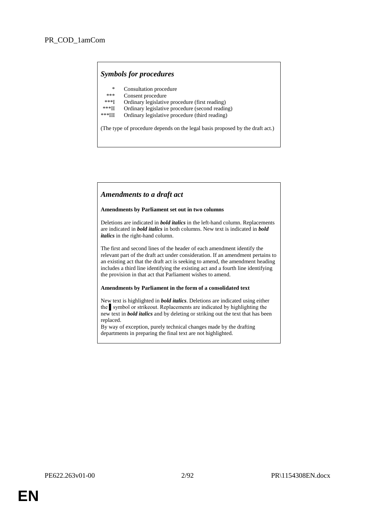### *Symbols for procedures*

- \* Consultation procedure
- \*\*\* Consent procedure<br>\*\*\*I Ordinary legislative
- \*\*\*I Ordinary legislative procedure (first reading)
- \*\*\*II Ordinary legislative procedure (second reading)
- Ordinary legislative procedure (third reading)

(The type of procedure depends on the legal basis proposed by the draft act.)

# *Amendments to a draft act*

#### **Amendments by Parliament set out in two columns**

Deletions are indicated in *bold italics* in the left-hand column. Replacements are indicated in *bold italics* in both columns. New text is indicated in *bold italics* in the right-hand column.

The first and second lines of the header of each amendment identify the relevant part of the draft act under consideration. If an amendment pertains to an existing act that the draft act is seeking to amend, the amendment heading includes a third line identifying the existing act and a fourth line identifying the provision in that act that Parliament wishes to amend.

#### **Amendments by Parliament in the form of a consolidated text**

New text is highlighted in *bold italics*. Deletions are indicated using either the ▌symbol or strikeout. Replacements are indicated by highlighting the new text in *bold italics* and by deleting or striking out the text that has been replaced.

By way of exception, purely technical changes made by the drafting departments in preparing the final text are not highlighted.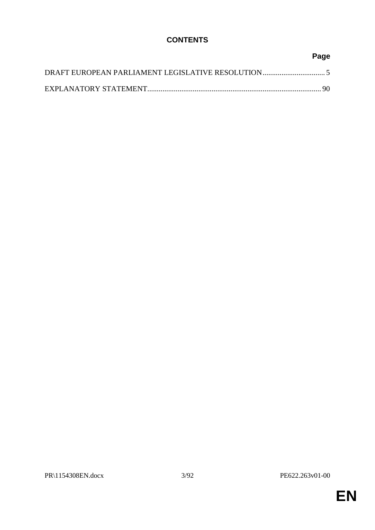# **CONTENTS**

| Page |
|------|
|      |
|      |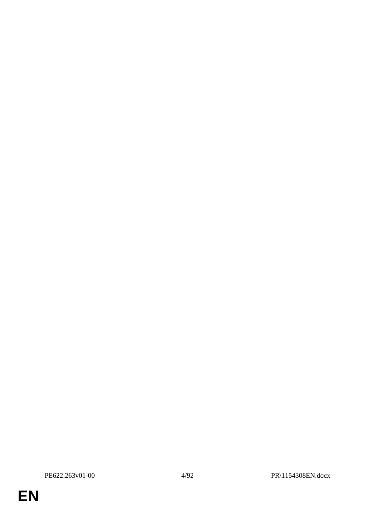PE622.263v01 -00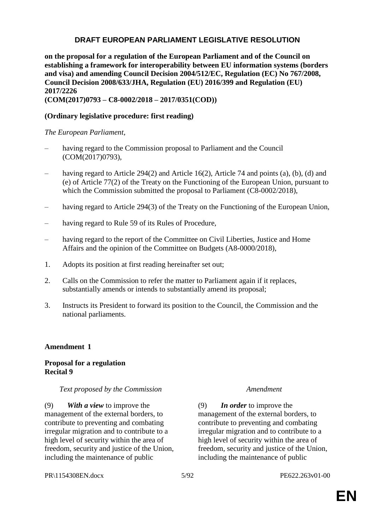# **DRAFT EUROPEAN PARLIAMENT LEGISLATIVE RESOLUTION**

**on the proposal for a regulation of the European Parliament and of the Council on establishing a framework for interoperability between EU information systems (borders and visa) and amending Council Decision 2004/512/EC, Regulation (EC) No 767/2008, Council Decision 2008/633/JHA, Regulation (EU) 2016/399 and Regulation (EU) 2017/2226 (COM(2017)0793 – C8-0002/2018 – 2017/0351(COD))**

# **(Ordinary legislative procedure: first reading)**

*The European Parliament*,

- having regard to the Commission proposal to Parliament and the Council (COM(2017)0793),
- having regard to Article 294(2) and Article 16(2), Article 74 and points (a), (b), (d) and (e) of Article 77(2) of the Treaty on the Functioning of the European Union, pursuant to which the Commission submitted the proposal to Parliament (C8-0002/2018).
- having regard to Article 294(3) of the Treaty on the Functioning of the European Union,
- having regard to Rule 59 of its Rules of Procedure,
- having regard to the report of the Committee on Civil Liberties, Justice and Home Affairs and the opinion of the Committee on Budgets (A8-0000/2018),
- 1. Adopts its position at first reading hereinafter set out;
- 2. Calls on the Commission to refer the matter to Parliament again if it replaces, substantially amends or intends to substantially amend its proposal;
- 3. Instructs its President to forward its position to the Council, the Commission and the national parliaments.

### **Amendment 1**

# **Proposal for a regulation Recital 9**

### *Text proposed by the Commission Amendment*

(9) *With a view* to improve the management of the external borders, to contribute to preventing and combating irregular migration and to contribute to a high level of security within the area of freedom, security and justice of the Union, including the maintenance of public

(9) *In order* to improve the management of the external borders, to contribute to preventing and combating irregular migration and to contribute to a high level of security within the area of freedom, security and justice of the Union, including the maintenance of public

#### PR\1154308EN.docx 5/92 PE622.263v01-00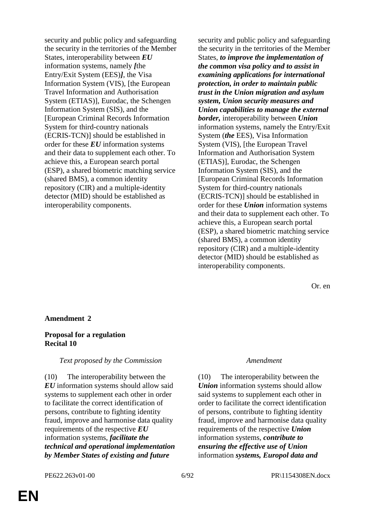security and public policy and safeguarding the security in the territories of the Member States, interoperability between *EU*  information systems, namely *[*the Entry/Exit System (EES)*]*, the Visa Information System (VIS), [the European Travel Information and Authorisation System (ETIAS)], Eurodac, the Schengen Information System (SIS), and the [European Criminal Records Information System for third-country nationals (ECRIS-TCN)] should be established in order for these *EU* information systems and their data to supplement each other. To achieve this, a European search portal (ESP), a shared biometric matching service (shared BMS), a common identity repository (CIR) and a multiple-identity detector (MID) should be established as interoperability components.

security and public policy and safeguarding the security in the territories of the Member States, *to improve the implementation of the common visa policy and to assist in examining applications for international protection, in order to maintain public trust in the Union migration and asylum system, Union security measures and Union capabilities to manage the external border,* interoperability between *Union* information systems, namely the Entry/Exit System (*the* EES), Visa Information System (VIS), [the European Travel Information and Authorisation System (ETIAS)], Eurodac, the Schengen Information System (SIS), and the [European Criminal Records Information System for third-country nationals (ECRIS-TCN)] should be established in order for these *Union* information systems and their data to supplement each other. To achieve this, a European search portal (ESP), a shared biometric matching service (shared BMS), a common identity repository (CIR) and a multiple-identity detector (MID) should be established as interoperability components.

Or. en

#### **Amendment 2**

#### **Proposal for a regulation Recital 10**

#### *Text proposed by the Commission Amendment*

(10) The interoperability between the *EU* information systems should allow said systems to supplement each other in order to facilitate the correct identification of persons, contribute to fighting identity fraud, improve and harmonise data quality requirements of the respective *EU* information systems, *facilitate the technical and operational implementation by Member States of existing and future*

(10) The interoperability between the *Union* information systems should allow said systems to supplement each other in order to facilitate the correct identification of persons, contribute to fighting identity fraud, improve and harmonise data quality requirements of the respective *Union* information systems, *contribute to ensuring the effective use of Union* information *systems, Europol data and* 

### PE622.263v01-00 6/92 PR\1154308EN.docx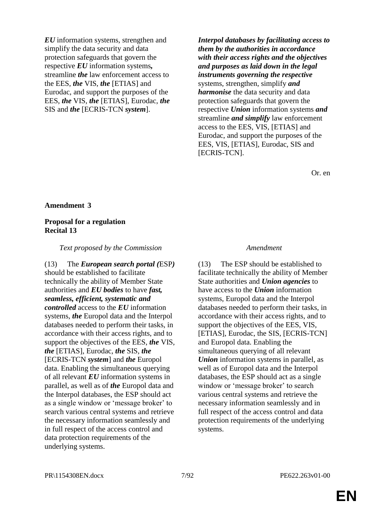*EU* information systems, strengthen and simplify the data security and data protection safeguards that govern the respective *EU* information systems*,* streamline *the* law enforcement access to the EES, *the* VIS, *the* [ETIAS] and Eurodac, and support the purposes of the EES, *the* VIS, *the* [ETIAS], Eurodac, *the* SIS and *the* [ECRIS-TCN *system*].

*Interpol databases by facilitating access to them by the authorities in accordance with their access rights and the objectives and purposes as laid down in the legal instruments governing the respective* systems, strengthen, simplify *and harmonise* the data security and data protection safeguards that govern the respective *Union* information systems *and* streamline *and simplify* law enforcement access to the EES, VIS, [ETIAS] and Eurodac, and support the purposes of the EES, VIS, [ETIAS], Eurodac, SIS and [ECRIS-TCN].

Or. en

#### **Amendment 3**

### **Proposal for a regulation Recital 13**

*Text proposed by the Commission Amendment*

(13) The *European search portal (*ESP*)* should be established to facilitate technically the ability of Member State authorities and *EU bodies* to have *fast, seamless, efficient, systematic and controlled* access to the *EU* information systems, *the* Europol data and the Interpol databases needed to perform their tasks, in accordance with their access rights, and to support the objectives of the EES, *the* VIS, *the* [ETIAS], Eurodac, *the* SIS, *the* [ECRIS-TCN *system*] and *the* Europol data. Enabling the simultaneous querying of all relevant *EU* information systems in parallel, as well as of *the* Europol data and the Interpol databases, the ESP should act as a single window or 'message broker' to search various central systems and retrieve the necessary information seamlessly and in full respect of the access control and data protection requirements of the underlying systems.

(13) The ESP should be established to facilitate technically the ability of Member State authorities and *Union agencies* to have access to the *Union* information systems, Europol data and the Interpol databases needed to perform their tasks, in accordance with their access rights, and to support the objectives of the EES, VIS, [ETIAS], Eurodac, the SIS, [ECRIS-TCN] and Europol data. Enabling the simultaneous querying of all relevant *Union* information systems in parallel, as well as of Europol data and the Interpol databases, the ESP should act as a single window or 'message broker' to search various central systems and retrieve the necessary information seamlessly and in full respect of the access control and data protection requirements of the underlying systems.

PR\1154308EN.docx 7/92 PE622.263v01-00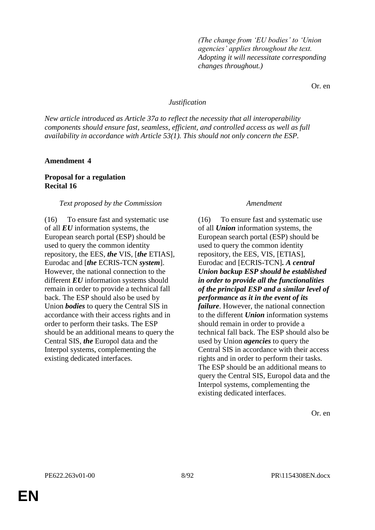*(The change from 'EU bodies' to 'Union agencies' applies throughout the text. Adopting it will necessitate corresponding changes throughout.)*

Or. en

#### *Justification*

*New article introduced as Article 37a to reflect the necessity that all interoperability components should ensure fast, seamless, efficient, and controlled access as well as full availability in accordance with Article 53(1). This should not only concern the ESP.*

#### **Amendment 4**

### **Proposal for a regulation Recital 16**

#### *Text proposed by the Commission Amendment*

(16) To ensure fast and systematic use of all *EU* information systems, the European search portal (ESP) should be used to query the common identity repository, the EES, *the* VIS, [*the* ETIAS], Eurodac and [*the* ECRIS-TCN *system*]. However, the national connection to the different *EU* information systems should remain in order to provide a technical fall back. The ESP should also be used by Union *bodies* to query the Central SIS in accordance with their access rights and in order to perform their tasks. The ESP should be an additional means to query the Central SIS, *the* Europol data and the Interpol systems, complementing the existing dedicated interfaces.

(16) To ensure fast and systematic use of all *Union* information systems, the European search portal (ESP) should be used to query the common identity repository, the EES, VIS, [ETIAS], Eurodac and [ECRIS-TCN]*. A central Union backup ESP should be established in order to provide all the functionalities of the principal ESP and a similar level of performance as it in the event of its failure*. However, the national connection to the different *Union* information systems should remain in order to provide a technical fall back. The ESP should also be used by Union *agencies* to query the Central SIS in accordance with their access rights and in order to perform their tasks. The ESP should be an additional means to query the Central SIS, Europol data and the Interpol systems, complementing the existing dedicated interfaces.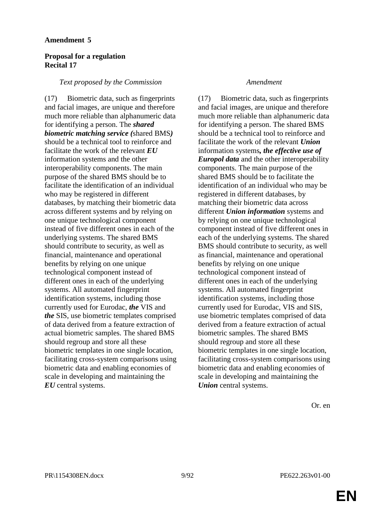# **Proposal for a regulation Recital 17**

### *Text proposed by the Commission Amendment*

(17) Biometric data, such as fingerprints and facial images, are unique and therefore much more reliable than alphanumeric data for identifying a person. The *shared biometric matching service (*shared BMS*)* should be a technical tool to reinforce and facilitate the work of the relevant *EU* information systems and the other interoperability components. The main purpose of the shared BMS should be to facilitate the identification of an individual who may be registered in different databases, by matching their biometric data across different systems and by relying on one unique technological component instead of five different ones in each of the underlying systems. The shared BMS should contribute to security, as well as financial, maintenance and operational benefits by relying on one unique technological component instead of different ones in each of the underlying systems. All automated fingerprint identification systems, including those currently used for Eurodac, *the* VIS and *the* SIS, use biometric templates comprised of data derived from a feature extraction of actual biometric samples. The shared BMS should regroup and store all these biometric templates in one single location, facilitating cross-system comparisons using biometric data and enabling economies of scale in developing and maintaining the *EU* central systems.

(17) Biometric data, such as fingerprints and facial images, are unique and therefore much more reliable than alphanumeric data for identifying a person. The shared BMS should be a technical tool to reinforce and facilitate the work of the relevant *Union* information systems*, the effective use of Europol data* and the other interoperability components. The main purpose of the shared BMS should be to facilitate the identification of an individual who may be registered in different databases, by matching their biometric data across different *Union information* systems and by relying on one unique technological component instead of five different ones in each of the underlying systems. The shared BMS should contribute to security, as well as financial, maintenance and operational benefits by relying on one unique technological component instead of different ones in each of the underlying systems. All automated fingerprint identification systems, including those currently used for Eurodac, VIS and SIS, use biometric templates comprised of data derived from a feature extraction of actual biometric samples. The shared BMS should regroup and store all these biometric templates in one single location, facilitating cross-system comparisons using biometric data and enabling economies of scale in developing and maintaining the *Union* central systems.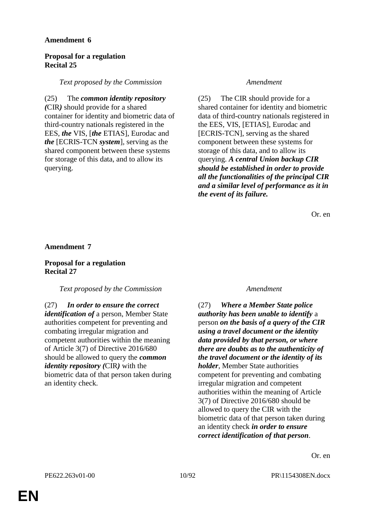# **Proposal for a regulation Recital 25**

# *Text proposed by the Commission Amendment*

(25) The *common identity repository (*CIR*)* should provide for a shared container for identity and biometric data of third-country nationals registered in the EES, *the* VIS, [*the* ETIAS], Eurodac and *the* [ECRIS-TCN *system*], serving as the shared component between these systems for storage of this data, and to allow its querying.

(25) The CIR should provide for a shared container for identity and biometric data of third-country nationals registered in the EES, VIS, [ETIAS], Eurodac and [ECRIS-TCN], serving as the shared component between these systems for storage of this data, and to allow its querying. *A central Union backup CIR should be established in order to provide all the functionalities of the principal CIR and a similar level of performance as it in the event of its failure.* 

Or. en

### **Amendment 7**

### **Proposal for a regulation Recital 27**

*Text proposed by the Commission Amendment*

(27) *In order to ensure the correct identification of* a person, Member State authorities competent for preventing and combating irregular migration and competent authorities within the meaning of Article 3(7) of Directive 2016/680 should be allowed to query the *common identity repository (*CIR*)* with the biometric data of that person taken during an identity check.

(27) *Where a Member State police authority has been unable to identify* a person *on the basis of a query of the CIR using a travel document or the identity data provided by that person, or where there are doubts as to the authenticity of the travel document or the identity of its holder*, Member State authorities competent for preventing and combating irregular migration and competent authorities within the meaning of Article 3(7) of Directive 2016/680 should be allowed to query the CIR with the biometric data of that person taken during an identity check *in order to ensure correct identification of that person*.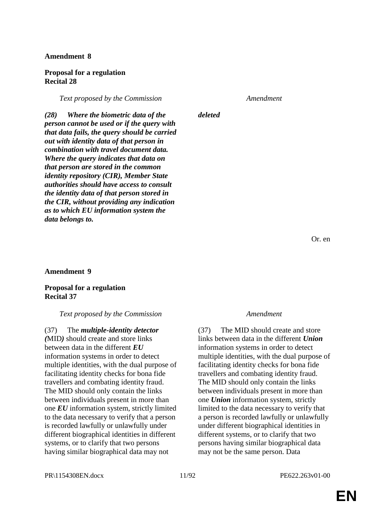### **Proposal for a regulation Recital 28**

*Text proposed by the Commission Amendment*

*(28) Where the biometric data of the person cannot be used or if the query with that data fails, the query should be carried out with identity data of that person in combination with travel document data. Where the query indicates that data on that person are stored in the common identity repository (CIR), Member State authorities should have access to consult the identity data of that person stored in the CIR, without providing any indication as to which EU information system the data belongs to.*

**Amendment 9**

# **Proposal for a regulation Recital 37**

# *Text proposed by the Commission Amendment*

(37) The *multiple-identity detector (*MID*)* should create and store links between data in the different *EU* information systems in order to detect multiple identities, with the dual purpose of facilitating identity checks for bona fide travellers and combating identity fraud. The MID should only contain the links between individuals present in more than one *EU* information system, strictly limited to the data necessary to verify that a person is recorded lawfully or unlawfully under different biographical identities in different systems, or to clarify that two persons having similar biographical data may not

*deleted*

Or. en

(37) The MID should create and store links between data in the different *Union* information systems in order to detect multiple identities, with the dual purpose of facilitating identity checks for bona fide travellers and combating identity fraud. The MID should only contain the links between individuals present in more than one *Union* information system, strictly limited to the data necessary to verify that a person is recorded lawfully or unlawfully under different biographical identities in different systems, or to clarify that two persons having similar biographical data may not be the same person. Data

PR\1154308EN.docx 11/92 PE622.263v01-00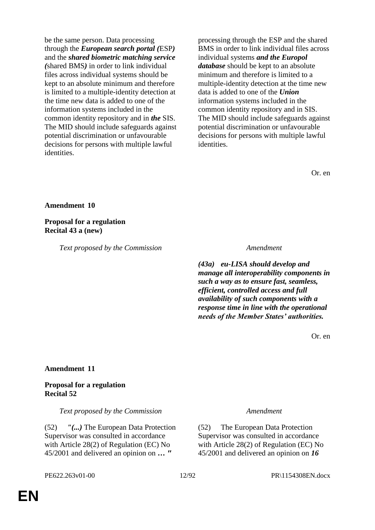be the same person. Data processing through the *European search portal (*ESP*)* and the *shared biometric matching service (*shared BMS*)* in order to link individual files across individual systems should be kept to an absolute minimum and therefore is limited to a multiple-identity detection at the time new data is added to one of the information systems included in the common identity repository and in *the* SIS. The MID should include safeguards against potential discrimination or unfavourable decisions for persons with multiple lawful identities.

processing through the ESP and the shared BMS in order to link individual files across individual systems *and the Europol database* should be kept to an absolute minimum and therefore is limited to a multiple-identity detection at the time new data is added to one of the *Union*  information systems included in the common identity repository and in SIS. The MID should include safeguards against potential discrimination or unfavourable decisions for persons with multiple lawful identities.

Or. en

**Amendment 10**

**Proposal for a regulation Recital 43 a (new)**

*Text proposed by the Commission Amendment*

*(43a) eu-LISA should develop and manage all interoperability components in such a way as to ensure fast, seamless, efficient, controlled access and full availability of such components with a response time in line with the operational needs of the Member States' authorities.*

Or. en

#### **Amendment 11**

**Proposal for a regulation Recital 52**

*Text proposed by the Commission Amendment*

(52) *"(...)* The European Data Protection Supervisor was consulted in accordance with Article 28(2) of Regulation (EC) No 45/2001 and delivered an opinion on *… "*

(52) The European Data Protection Supervisor was consulted in accordance with Article 28(2) of Regulation (EC) No 45/2001 and delivered an opinion on *16*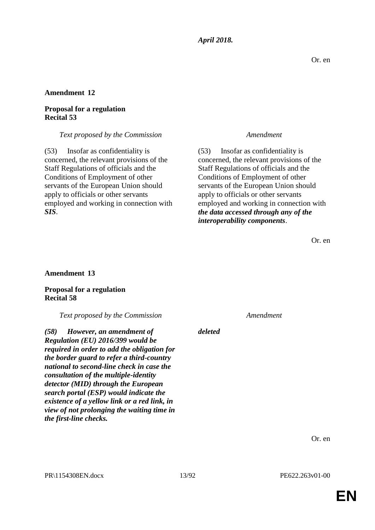# *April 2018.*

# **Amendment 12**

# **Proposal for a regulation Recital 53**

# *Text proposed by the Commission Amendment*

(53) Insofar as confidentiality is concerned, the relevant provisions of the Staff Regulations of officials and the Conditions of Employment of other servants of the European Union should apply to officials or other servants employed and working in connection with *SIS*.

(53) Insofar as confidentiality is concerned, the relevant provisions of the Staff Regulations of officials and the Conditions of Employment of other servants of the European Union should apply to officials or other servants employed and working in connection with *the data accessed through any of the interoperability components*.

Or. en

### **Amendment 13**

### **Proposal for a regulation Recital 58**

*Text proposed by the Commission Amendment*

*(58) However, an amendment of Regulation (EU) 2016/399 would be required in order to add the obligation for the border guard to refer a third-country national to second-line check in case the consultation of the multiple-identity detector (MID) through the European search portal (ESP) would indicate the existence of a yellow link or a red link, in view of not prolonging the waiting time in the first-line checks.*

*deleted*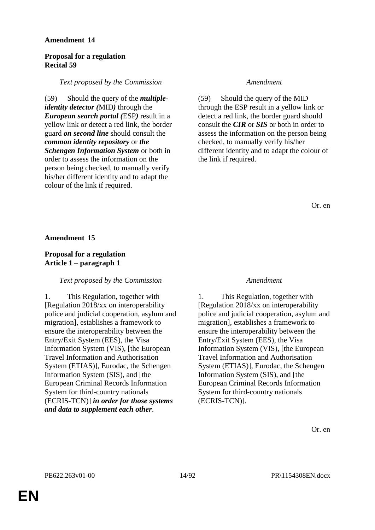### **Proposal for a regulation Recital 59**

### *Text proposed by the Commission Amendment*

(59) Should the query of the *multipleidentity detector (*MID*)* through the *European search portal (*ESP*)* result in a yellow link or detect a red link, the border guard *on second line* should consult the *common identity repository* or *the Schengen Information System* or both in order to assess the information on the person being checked, to manually verify his/her different identity and to adapt the colour of the link if required.

(59) Should the query of the MID through the ESP result in a yellow link or detect a red link, the border guard should consult the *CIR* or *SIS* or both in order to assess the information on the person being checked, to manually verify his/her different identity and to adapt the colour of the link if required.

Or. en

#### **Amendment 15**

### **Proposal for a regulation Article 1 – paragraph 1**

### *Text proposed by the Commission Amendment*

1. This Regulation, together with [Regulation 2018/xx on interoperability police and judicial cooperation, asylum and migration], establishes a framework to ensure the interoperability between the Entry/Exit System (EES), the Visa Information System (VIS), [the European Travel Information and Authorisation System (ETIAS)], Eurodac, the Schengen Information System (SIS), and [the European Criminal Records Information System for third-country nationals (ECRIS-TCN)] *in order for those systems and data to supplement each other*.

1. This Regulation, together with [Regulation 2018/xx on interoperability police and judicial cooperation, asylum and migration], establishes a framework to ensure the interoperability between the Entry/Exit System (EES), the Visa Information System (VIS), [the European Travel Information and Authorisation System (ETIAS)], Eurodac, the Schengen Information System (SIS), and [the European Criminal Records Information System for third-country nationals (ECRIS-TCN)].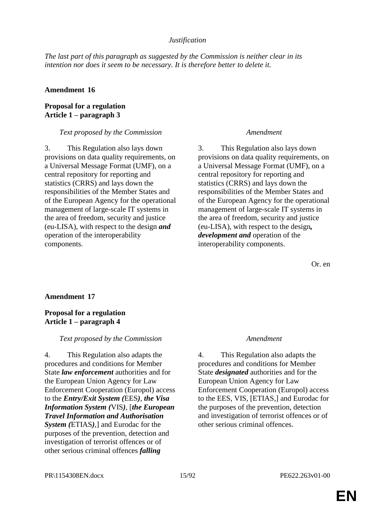# *Justification*

*The last part of this paragraph as suggested by the Commission is neither clear in its intention nor does it seem to be necessary. It is therefore better to delete it.*

#### **Amendment 16**

# **Proposal for a regulation Article 1 – paragraph 3**

#### *Text proposed by the Commission Amendment*

3. This Regulation also lays down provisions on data quality requirements, on a Universal Message Format (UMF), on a central repository for reporting and statistics (CRRS) and lays down the responsibilities of the Member States and of the European Agency for the operational management of large-scale IT systems in the area of freedom, security and justice (eu-LISA), with respect to the design *and* operation of the interoperability components.

3. This Regulation also lays down provisions on data quality requirements, on a Universal Message Format (UMF), on a central repository for reporting and statistics (CRRS) and lays down the responsibilities of the Member States and of the European Agency for the operational management of large-scale IT systems in the area of freedom, security and justice (eu-LISA), with respect to the design*, development and* operation of the interoperability components.

Or. en

### **Amendment 17**

# **Proposal for a regulation Article 1 – paragraph 4**

### *Text proposed by the Commission Amendment*

4. This Regulation also adapts the procedures and conditions for Member State *law enforcement* authorities and for the European Union Agency for Law Enforcement Cooperation (Europol) access to the *Entry/Exit System (*EES*)*, *the Visa Information System (*VIS*)*, [*the European Travel Information and Authorisation System (*ETIAS*)*,] and Eurodac for the purposes of the prevention, detection and investigation of terrorist offences or of other serious criminal offences *falling* 

4. This Regulation also adapts the procedures and conditions for Member State *designated* authorities and for the European Union Agency for Law Enforcement Cooperation (Europol) access to the EES, VIS, [ETIAS,] and Eurodac for the purposes of the prevention, detection and investigation of terrorist offences or of other serious criminal offences.

PR\1154308EN.docx 15/92 PE622.263v01-00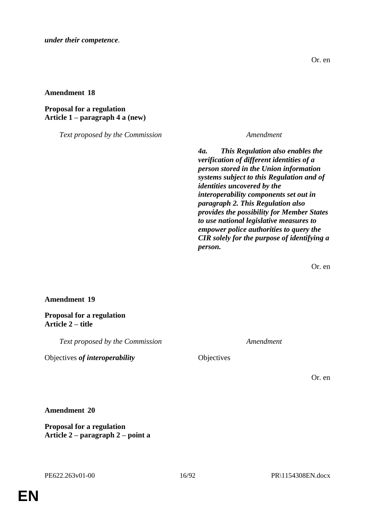**Proposal for a regulation Article 1 – paragraph 4 a (new)**

*Text proposed by the Commission Amendment*

*4a. This Regulation also enables the verification of different identities of a person stored in the Union information systems subject to this Regulation and of identities uncovered by the interoperability components set out in paragraph 2. This Regulation also provides the possibility for Member States to use national legislative measures to empower police authorities to query the CIR solely for the purpose of identifying a person.* 

Or. en

### **Amendment 19**

**Proposal for a regulation Article 2 – title**

*Text proposed by the Commission Amendment*

Objectives *of interoperability* Objectives

Or. en

**Amendment 20**

**Proposal for a regulation Article 2 – paragraph 2 – point a**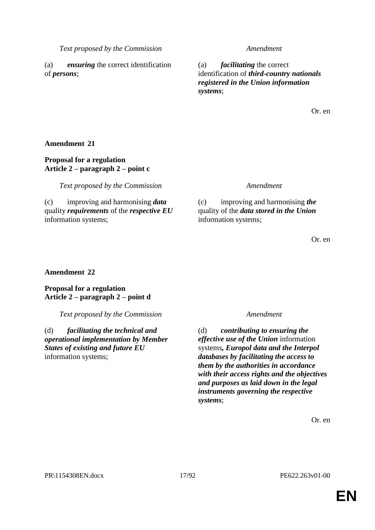### *Text proposed by the Commission Amendment*

(a) *ensuring* the correct identification of *persons*;

(a) *facilitating* the correct identification of *third-country nationals registered in the Union information systems*;

Or. en

**Amendment 21**

# **Proposal for a regulation Article 2 – paragraph 2 – point c**

*Text proposed by the Commission Amendment*

(c) improving and harmonising *data* quality *requirements* of the *respective EU* information systems;

(c) improving and harmonising *the* quality of the *data stored in the Union* information systems;

Or. en

# **Amendment 22**

**Proposal for a regulation Article 2 – paragraph 2 – point d**

*Text proposed by the Commission Amendment*

(d) *facilitating the technical and operational implementation by Member States of existing and future EU* information systems;

(d) *contributing to ensuring the effective use of the Union* information systems*, Europol data and the Interpol databases by facilitating the access to them by the authorities in accordance with their access rights and the objectives and purposes as laid down in the legal instruments governing the respective systems*;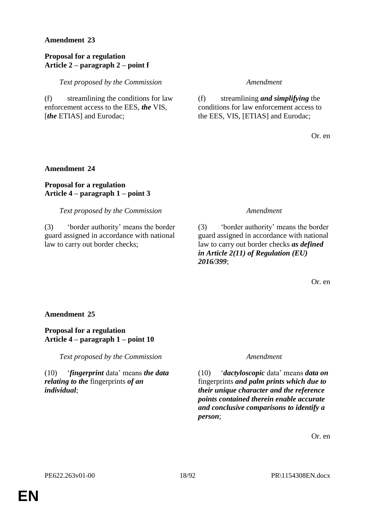### **Proposal for a regulation Article 2 – paragraph 2 – point f**

*Text proposed by the Commission Amendment*

(f) streamlining the conditions for law enforcement access to the EES, *the* VIS, [*the* ETIAS] and Eurodac;

(f) streamlining *and simplifying* the conditions for law enforcement access to the EES, VIS, [ETIAS] and Eurodac;

Or. en

### **Amendment 24**

# **Proposal for a regulation Article 4 – paragraph 1 – point 3**

# *Text proposed by the Commission Amendment*

(3) 'border authority' means the border guard assigned in accordance with national law to carry out border checks;

(3) 'border authority' means the border guard assigned in accordance with national law to carry out border checks *as defined in Article 2(11) of Regulation (EU) 2016/399*;

Or. en

### **Amendment 25**

#### **Proposal for a regulation Article 4 – paragraph 1 – point 10**

*Text proposed by the Commission Amendment*

(10) '*fingerprint* data' means *the data relating to the* fingerprints *of an individual*;

(10) '*dactyloscopic* data' means *data on* fingerprints *and palm prints which due to their unique character and the reference points contained therein enable accurate and conclusive comparisons to identify a person*;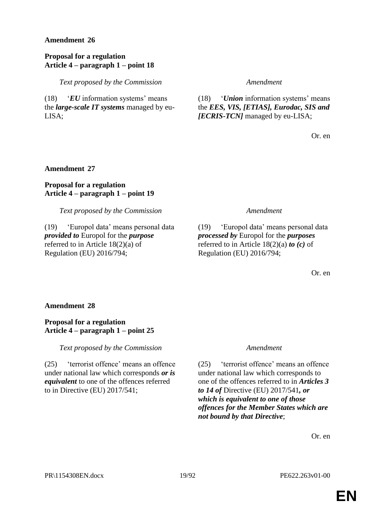### **Proposal for a regulation Article 4 – paragraph 1 – point 18**

*Text proposed by the Commission Amendment*

(18) '*EU* information systems' means the *large-scale IT systems* managed by eu-LISA;

(18) '*Union* information systems' means the *EES, VIS, [ETIAS], Eurodac, SIS and [ECRIS-TCN]* managed by eu-LISA;

Or. en

### **Amendment 27**

### **Proposal for a regulation Article 4 – paragraph 1 – point 19**

*Text proposed by the Commission Amendment*

(19) 'Europol data' means personal data *provided to* Europol for the *purpose* referred to in Article 18(2)(a) of Regulation (EU) 2016/794;

(19) 'Europol data' means personal data *processed by* Europol for the *purposes* referred to in Article 18(2)(a) *to (c)* of Regulation (EU) 2016/794;

Or. en

### **Amendment 28**

### **Proposal for a regulation Article 4 – paragraph 1 – point 25**

*Text proposed by the Commission Amendment*

(25) 'terrorist offence' means an offence under national law which corresponds *or is equivalent* to one of the offences referred to in Directive (EU) 2017/541;

(25) 'terrorist offence' means an offence under national law which corresponds to one of the offences referred to in *Articles 3 to 14 of* Directive (EU) 2017/541*, or which is equivalent to one of those offences for the Member States which are not bound by that Directive*;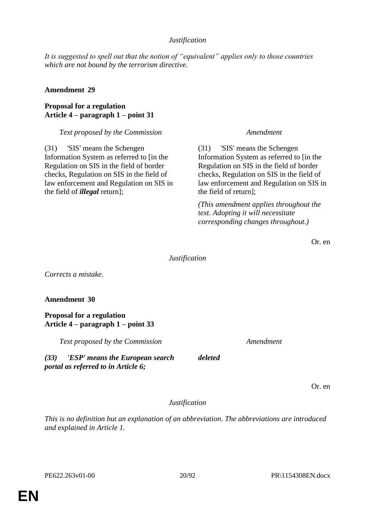# *Justification*

*It is suggested to spell out that the notion of "equivalent" applies only to those countries which are not bound by the terrorism directive.*

# **Amendment 29**

**Proposal for a regulation Article 4 – paragraph 1 – point 31**

### *Text proposed by the Commission Amendment*

(31) 'SIS' means the Schengen Information System as referred to [in the Regulation on SIS in the field of border checks, Regulation on SIS in the field of law enforcement and Regulation on SIS in the field of *illegal* return];

(31) 'SIS' means the Schengen Information System as referred to [in the Regulation on SIS in the field of border checks, Regulation on SIS in the field of law enforcement and Regulation on SIS in the field of return];

*(This amendment applies throughout the text. Adopting it will necessitate corresponding changes throughout.)*

Or. en

*Justification*

*Corrects a mistake.*

# **Amendment 30**

**Proposal for a regulation Article 4 – paragraph 1 – point 33**

*Text proposed by the Commission Amendment*

*(33) 'ESP' means the European search portal as referred to in Article 6;*

Or. en

*Justification*

*deleted*

*This is no definition but an explanation of an abbreviation. The abbreviations are introduced and explained in Article 1.*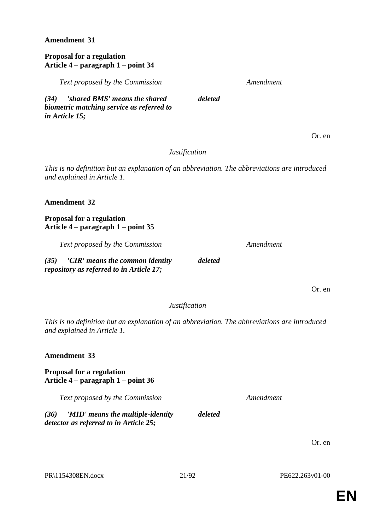### **Proposal for a regulation Article 4 – paragraph 1 – point 34**

*Text proposed by the Commission Amendment*

*(34) 'shared BMS' means the shared biometric matching service as referred to in Article 15;*

Or. en

### *Justification*

*deleted*

*This is no definition but an explanation of an abbreviation. The abbreviations are introduced and explained in Article 1.*

### **Amendment 32**

**Proposal for a regulation Article 4 – paragraph 1 – point 35**

*Text proposed by the Commission Amendment*

*(35) 'CIR' means the common identity repository as referred to in Article 17; deleted*

Or. en

#### *Justification*

*This is no definition but an explanation of an abbreviation. The abbreviations are introduced and explained in Article 1.*

#### **Amendment 33**

### **Proposal for a regulation Article 4 – paragraph 1 – point 36**

*Text proposed by the Commission Amendment*

*(36) 'MID' means the multiple-identity detector as referred to in Article 25;*

Or. en

*deleted*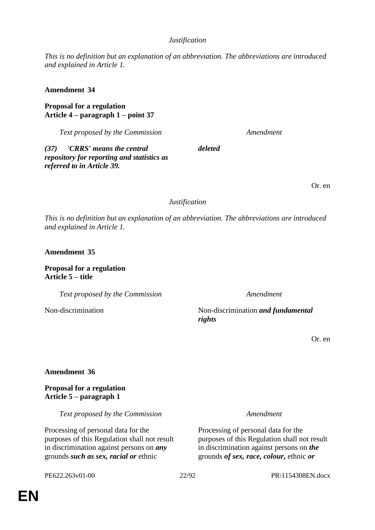# *Justification*

*This is no definition but an explanation of an abbreviation. The abbreviations are introduced and explained in Article 1.*

#### **Amendment 34**

**Proposal for a regulation Article 4 – paragraph 1 – point 37**

*Text proposed by the Commission Amendment*

*(37) 'CRRS' means the central repository for reporting and statistics as referred to in Article 39.*

Or. en

#### *Justification*

*deleted*

*This is no definition but an explanation of an abbreviation. The abbreviations are introduced and explained in Article 1.*

**Amendment 35**

#### **Proposal for a regulation Article 5 – title**

*Text proposed by the Commission Amendment*

Non-discrimination Non-discrimination *and fundamental rights*

Or. en

### **Amendment 36**

**Proposal for a regulation Article 5 – paragraph 1**

*Text proposed by the Commission Amendment*

Processing of personal data for the purposes of this Regulation shall not result in discrimination against persons on *any* grounds *such as sex, racial or* ethnic

Processing of personal data for the purposes of this Regulation shall not result in discrimination against persons on *the* grounds *of sex, race, colour,* ethnic *or* 

PE622.263v01-00 22/92 PR\1154308EN.docx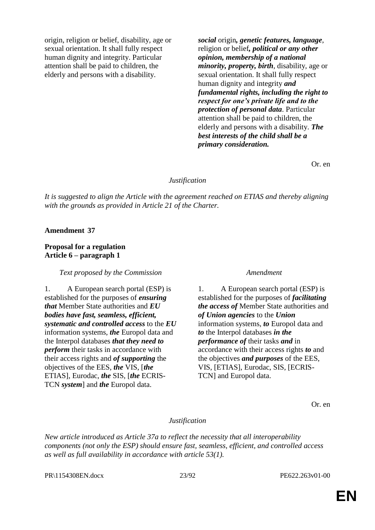origin, religion or belief, disability, age or sexual orientation. It shall fully respect human dignity and integrity. Particular attention shall be paid to children, the elderly and persons with a disability.

*social* origin*, genetic features, language*, religion or belief*, political or any other opinion, membership of a national minority, property, birth*, disability, age or sexual orientation. It shall fully respect human dignity and integrity *and fundamental rights, including the right to respect for one's private life and to the protection of personal data*. Particular attention shall be paid to children, the elderly and persons with a disability. *The best interests of the child shall be a primary consideration.*

Or. en

#### *Justification*

*It is suggested to align the Article with the agreement reached on ETIAS and thereby aligning with the grounds as provided in Article 21 of the Charter.*

#### **Amendment 37**

### **Proposal for a regulation Article 6 – paragraph 1**

#### *Text proposed by the Commission Amendment*

1. A European search portal (ESP) is established for the purposes of *ensuring that* Member State authorities and *EU bodies have fast, seamless, efficient, systematic and controlled access* to the *EU* information systems, *the* Europol data and the Interpol databases *that they need to perform* their tasks in accordance with their access rights and *of supporting* the objectives of the EES, *the* VIS, [*the* ETIAS], Eurodac, *the* SIS, [*the* ECRIS-TCN *system*] and *the* Europol data.

1. A European search portal (ESP) is established for the purposes of *facilitating the access of* Member State authorities and *of Union agencies* to the *Union* information systems, *to* Europol data and *to* the Interpol databases *in the performance of* their tasks *and* in accordance with their access rights *to* and the objectives *and purposes* of the EES, VIS, [ETIAS], Eurodac, SIS, [ECRIS-TCN] and Europol data.

Or. en

#### *Justification*

*New article introduced as Article 37a to reflect the necessity that all interoperability components (not only the ESP) should ensure fast, seamless, efficient, and controlled access as well as full availability in accordance with article 53(1).*

PR\1154308EN.docx 23/92 PE622.263v01-00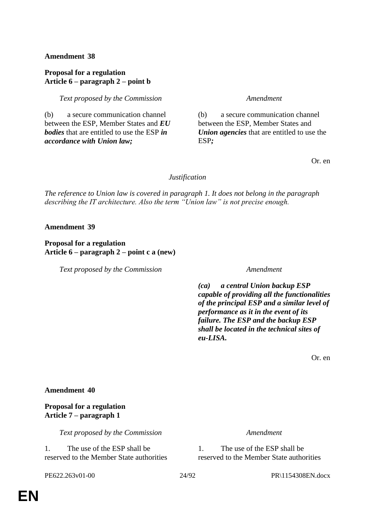# **Proposal for a regulation Article 6 – paragraph 2 – point b**

*Text proposed by the Commission Amendment*

(b) a secure communication channel between the ESP, Member States and *EU bodies* that are entitled to use the ESP *in accordance with Union law;*

(b) a secure communication channel between the ESP, Member States and *Union agencies* that are entitled to use the ESP*;*

Or. en

### *Justification*

*The reference to Union law is covered in paragraph 1. It does not belong in the paragraph describing the IT architecture. Also the term "Union law" is not precise enough.*

**Amendment 39**

**Proposal for a regulation Article 6 – paragraph 2 – point c a (new)**

*Text proposed by the Commission Amendment*

*(ca) a central Union backup ESP capable of providing all the functionalities of the principal ESP and a similar level of performance as it in the event of its failure. The ESP and the backup ESP shall be located in the technical sites of eu-LISA.* 

Or. en

### **Amendment 40**

**Proposal for a regulation Article 7 – paragraph 1**

*Text proposed by the Commission Amendment*

1. The use of the ESP shall be reserved to the Member State authorities

1. The use of the ESP shall be reserved to the Member State authorities

PE622.263v01-00 24/92 PR\1154308EN.docx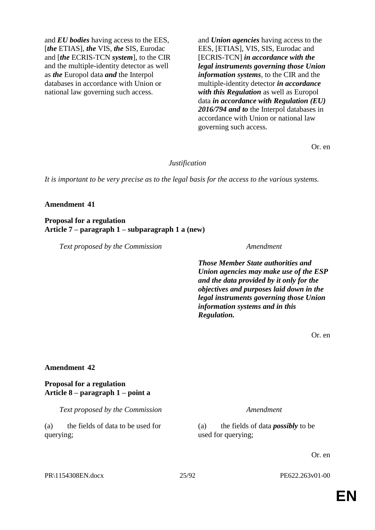and *EU bodies* having access to the EES, [*the* ETIAS], *the* VIS, *the* SIS, Eurodac and [*the* ECRIS-TCN *system*], to the CIR and the multiple-identity detector as well as *the* Europol data *and* the Interpol databases in accordance with Union or national law governing such access.

and *Union agencies* having access to the EES, [ETIAS], VIS, SIS, Eurodac and [ECRIS-TCN] *in accordance with the legal instruments governing those Union information systems*, to the CIR and the multiple-identity detector *in accordance with this Regulation* as well as Europol data *in accordance with Regulation (EU) 2016/794 and to* the Interpol databases in accordance with Union or national law governing such access.

Or. en

*Justification*

*It is important to be very precise as to the legal basis for the access to the various systems.*

### **Amendment 41**

**Proposal for a regulation Article 7 – paragraph 1 – subparagraph 1 a (new)**

*Text proposed by the Commission Amendment*

*Those Member State authorities and Union agencies may make use of the ESP and the data provided by it only for the objectives and purposes laid down in the legal instruments governing those Union information systems and in this Regulation.* 

Or. en

#### **Amendment 42**

#### **Proposal for a regulation Article 8 – paragraph 1 – point a**

*Text proposed by the Commission Amendment*

(a) the fields of data to be used for querying;

(a) the fields of data *possibly* to be used for querying;

Or. en

PR\1154308EN.docx 25/92 PE622.263v01-00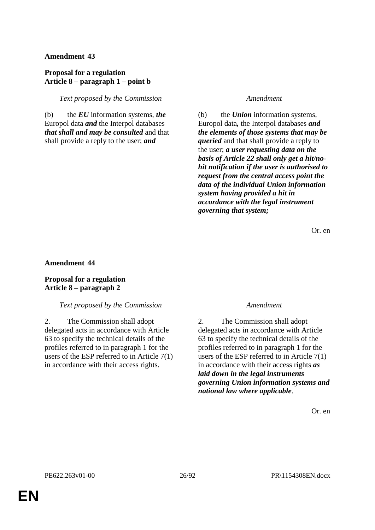# **Proposal for a regulation Article 8 – paragraph 1 – point b**

# *Text proposed by the Commission Amendment*

(b) the *EU* information systems, *the* Europol data *and* the Interpol databases *that shall and may be consulted* and that shall provide a reply to the user; *and*

(b) the *Union* information systems, Europol data*,* the Interpol databases *and the elements of those systems that may be queried* and that shall provide a reply to the user; *a user requesting data on the basis of Article 22 shall only get a hit/nohit notification if the user is authorised to request from the central access point the data of the individual Union information system having provided a hit in accordance with the legal instrument governing that system;* 

Or. en

# **Amendment 44**

# **Proposal for a regulation Article 8 – paragraph 2**

# *Text proposed by the Commission Amendment*

2. The Commission shall adopt delegated acts in accordance with Article 63 to specify the technical details of the profiles referred to in paragraph 1 for the users of the ESP referred to in Article 7(1) in accordance with their access rights.

2. The Commission shall adopt delegated acts in accordance with Article 63 to specify the technical details of the profiles referred to in paragraph 1 for the users of the ESP referred to in Article 7(1) in accordance with their access rights *as laid down in the legal instruments governing Union information systems and national law where applicable*.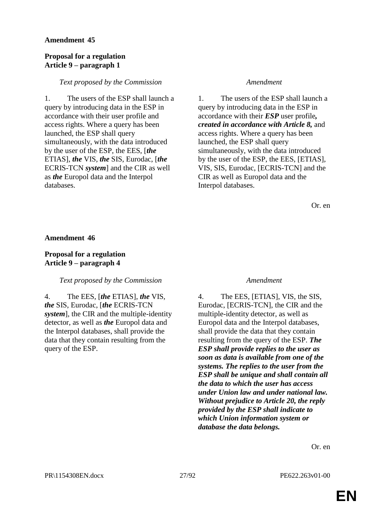### **Proposal for a regulation Article 9 – paragraph 1**

#### *Text proposed by the Commission Amendment*

1. The users of the ESP shall launch a query by introducing data in the ESP in accordance with their user profile and access rights. Where a query has been launched, the ESP shall query simultaneously, with the data introduced by the user of the ESP, the EES, [*the* ETIAS], *the* VIS, *the* SIS, Eurodac, [*the* ECRIS-TCN *system*] and the CIR as well as *the* Europol data and the Interpol databases.

1. The users of the ESP shall launch a query by introducing data in the ESP in accordance with their *ESP* user profile*, created in accordance with Article 8,* and access rights. Where a query has been launched, the ESP shall query simultaneously, with the data introduced by the user of the ESP, the EES, [ETIAS], VIS, SIS, Eurodac, [ECRIS-TCN] and the CIR as well as Europol data and the Interpol databases.

Or. en

### **Amendment 46**

### **Proposal for a regulation Article 9 – paragraph 4**

### *Text proposed by the Commission Amendment*

4. The EES, [*the* ETIAS], *the* VIS, *the* SIS, Eurodac, [*the* ECRIS-TCN *system*], the CIR and the multiple-identity detector, as well as *the* Europol data and the Interpol databases, shall provide the data that they contain resulting from the query of the ESP.

4. The EES, [ETIAS], VIS, the SIS, Eurodac, [ECRIS-TCN], the CIR and the multiple-identity detector, as well as Europol data and the Interpol databases, shall provide the data that they contain resulting from the query of the ESP. *The ESP shall provide replies to the user as soon as data is available from one of the systems. The replies to the user from the ESP shall be unique and shall contain all the data to which the user has access under Union law and under national law. Without prejudice to Article 20, the reply provided by the ESP shall indicate to which Union information system or database the data belongs.*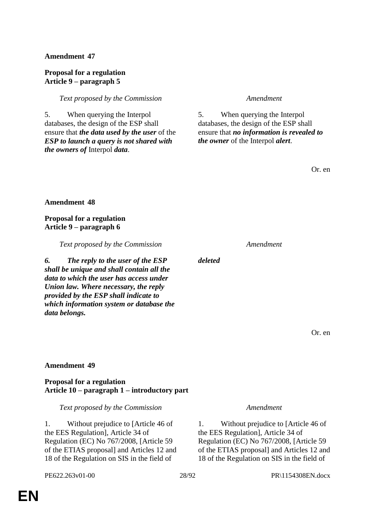# **Proposal for a regulation Article 9 – paragraph 5**

*Text proposed by the Commission Amendment*

5. When querying the Interpol databases, the design of the ESP shall ensure that *the data used by the user* of the *ESP to launch a query is not shared with the owners of* Interpol *data*.

5. When querying the Interpol databases, the design of the ESP shall ensure that *no information is revealed to the owner* of the Interpol *alert*.

Or. en

# **Amendment 48**

# **Proposal for a regulation Article 9 – paragraph 6**

*Text proposed by the Commission Amendment*

*6. The reply to the user of the ESP shall be unique and shall contain all the data to which the user has access under Union law. Where necessary, the reply provided by the ESP shall indicate to which information system or database the data belongs.*

*deleted*

Or. en

# **Amendment 49**

**Proposal for a regulation Article 10 – paragraph 1 – introductory part**

*Text proposed by the Commission Amendment*

1. Without prejudice to [Article 46 of the EES Regulation], Article 34 of Regulation (EC) No 767/2008, [Article 59 of the ETIAS proposal] and Articles 12 and 18 of the Regulation on SIS in the field of

1. Without prejudice to [Article 46 of the EES Regulation], Article 34 of Regulation (EC) No 767/2008, [Article 59 of the ETIAS proposal] and Articles 12 and 18 of the Regulation on SIS in the field of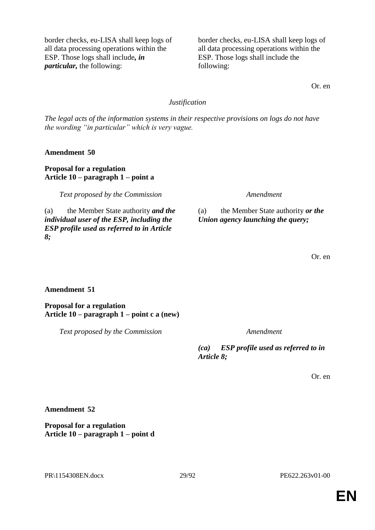border checks, eu-LISA shall keep logs of all data processing operations within the ESP. Those logs shall include*, in particular,* the following:

border checks, eu-LISA shall keep logs of all data processing operations within the ESP. Those logs shall include the following:

Or. en

#### *Justification*

*The legal acts of the information systems in their respective provisions on logs do not have the wording "in particular" which is very vague.*

**Amendment 50**

**Proposal for a regulation Article 10 – paragraph 1 – point a**

*Text proposed by the Commission Amendment*

(a) the Member State authority *and the individual user of the ESP, including the ESP profile used as referred to in Article 8;*

(a) the Member State authority *or the Union agency launching the query;*

Or. en

### **Amendment 51**

**Proposal for a regulation Article 10 – paragraph 1 – point c a (new)**

*Text proposed by the Commission Amendment*

*(ca) ESP profile used as referred to in Article 8;*

Or. en

**Amendment 52**

**Proposal for a regulation Article 10 – paragraph 1 – point d**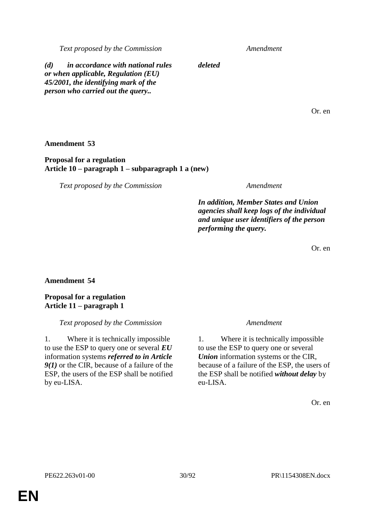*Text proposed by the Commission Amendment*

*deleted*

*(d) in accordance with national rules or when applicable, Regulation (EU) 45/2001, the identifying mark of the person who carried out the query..*

Or. en

### **Amendment 53**

# **Proposal for a regulation Article 10 – paragraph 1 – subparagraph 1 a (new)**

*Text proposed by the Commission Amendment*

*In addition, Member States and Union agencies shall keep logs of the individual and unique user identifiers of the person performing the query.*

Or. en

# **Amendment 54**

### **Proposal for a regulation Article 11 – paragraph 1**

### *Text proposed by the Commission Amendment*

1. Where it is technically impossible to use the ESP to query one or several *EU* information systems *referred to in Article 9(1)* or the CIR, because of a failure of the ESP, the users of the ESP shall be notified by eu-LISA.

1. Where it is technically impossible to use the ESP to query one or several *Union* information systems or the CIR, because of a failure of the ESP, the users of the ESP shall be notified *without delay* by eu-LISA.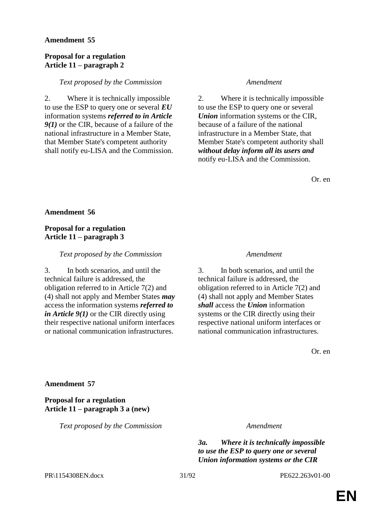#### **Proposal for a regulation Article 11 – paragraph 2**

#### *Text proposed by the Commission Amendment*

2. Where it is technically impossible to use the ESP to query one or several *EU* information systems *referred to in Article 9(1)* or the CIR, because of a failure of the national infrastructure in a Member State, that Member State's competent authority shall notify eu-LISA and the Commission.

2. Where it is technically impossible to use the ESP to query one or several *Union* information systems or the CIR, because of a failure of the national infrastructure in a Member State, that Member State's competent authority shall *without delay inform all its users and* notify eu-LISA and the Commission.

Or. en

### **Amendment 56**

# **Proposal for a regulation Article 11 – paragraph 3**

### *Text proposed by the Commission Amendment*

3. In both scenarios, and until the technical failure is addressed, the obligation referred to in Article 7(2) and (4) shall not apply and Member States *may* access the information systems *referred to in Article 9(1)* or the CIR directly using their respective national uniform interfaces or national communication infrastructures.

3. In both scenarios, and until the technical failure is addressed, the obligation referred to in Article 7(2) and (4) shall not apply and Member States *shall* access the *Union* information systems or the CIR directly using their respective national uniform interfaces or national communication infrastructures.

Or. en

### **Amendment 57**

**Proposal for a regulation Article 11 – paragraph 3 a (new)**

*Text proposed by the Commission Amendment*

*3a. Where it is technically impossible to use the ESP to query one or several Union information systems or the CIR* 

PR\1154308EN.docx 31/92 PE622.263v01-00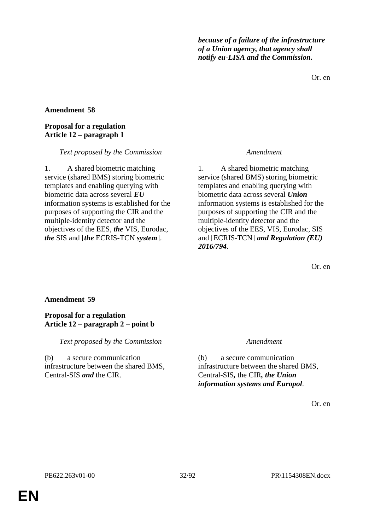*because of a failure of the infrastructure of a Union agency, that agency shall notify eu-LISA and the Commission.* 

Or. en

# **Amendment 58**

### **Proposal for a regulation Article 12 – paragraph 1**

#### *Text proposed by the Commission Amendment*

1. A shared biometric matching service (shared BMS) storing biometric templates and enabling querying with biometric data across several *EU* information systems is established for the purposes of supporting the CIR and the multiple-identity detector and the objectives of the EES, *the* VIS, Eurodac, *the* SIS and [*the* ECRIS-TCN *system*].

1. A shared biometric matching service (shared BMS) storing biometric templates and enabling querying with biometric data across several *Union* information systems is established for the purposes of supporting the CIR and the multiple-identity detector and the objectives of the EES, VIS, Eurodac, SIS and [ECRIS-TCN] *and Regulation (EU) 2016/794*.

Or. en

### **Amendment 59**

#### **Proposal for a regulation Article 12 – paragraph 2 – point b**

### *Text proposed by the Commission Amendment*

(b) a secure communication infrastructure between the shared BMS, Central-SIS *and* the CIR.

(b) a secure communication infrastructure between the shared BMS, Central-SIS*,* the CIR*, the Union information systems and Europol*.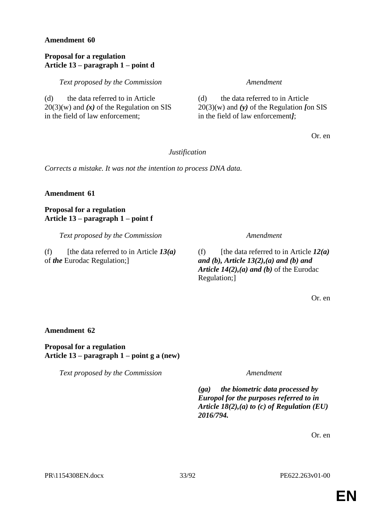# **Proposal for a regulation Article 13 – paragraph 1 – point d**

*Text proposed by the Commission Amendment*

(d) the data referred to in Article 20(3)(w) and *(x)* of the Regulation on SIS in the field of law enforcement;

(d) the data referred to in Article 20(3)(w) and *(y)* of the Regulation *[*on SIS in the field of law enforcement*]*;

Or. en

### *Justification*

*Corrects a mistake. It was not the intention to process DNA data.*

# **Amendment 61**

**Proposal for a regulation Article 13 – paragraph 1 – point f**

*Text proposed by the Commission Amendment*

(f) [the data referred to in Article  $13(a)$ of *the* Eurodac Regulation;]

(f) [the data referred to in Article  $12(a)$ *and (b), Article 13(2),(a) and (b) and Article 14(2),(a) and (b)* of the Eurodac Regulation;]

Or. en

### **Amendment 62**

**Proposal for a regulation Article 13 – paragraph 1 – point g a (new)**

*Text proposed by the Commission Amendment*

*(ga) the biometric data processed by Europol for the purposes referred to in Article 18(2),(a) to (c) of Regulation (EU) 2016/794.*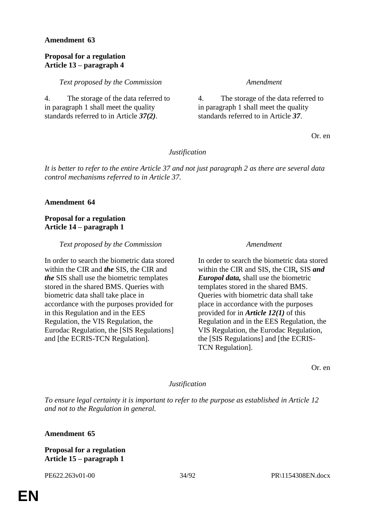#### **Proposal for a regulation Article 13 – paragraph 4**

*Text proposed by the Commission Amendment*

4. The storage of the data referred to in paragraph 1 shall meet the quality standards referred to in Article *37(2)*.

4. The storage of the data referred to in paragraph 1 shall meet the quality standards referred to in Article *37*.

Or. en

# *Justification*

*It is better to refer to the entire Article 37 and not just paragraph 2 as there are several data control mechanisms referred to in Article 37.*

# **Amendment 64**

# **Proposal for a regulation Article 14 – paragraph 1**

*Text proposed by the Commission Amendment*

In order to search the biometric data stored within the CIR and *the* SIS, the CIR and *the* SIS shall use the biometric templates stored in the shared BMS. Queries with biometric data shall take place in accordance with the purposes provided for in this Regulation and in the EES Regulation, the VIS Regulation, the Eurodac Regulation, the [SIS Regulations] and [the ECRIS-TCN Regulation].

In order to search the biometric data stored within the CIR and SIS, the CIR*,* SIS *and Europol data,* shall use the biometric templates stored in the shared BMS. Queries with biometric data shall take place in accordance with the purposes provided for in *Article 12(1)* of this Regulation and in the EES Regulation, the VIS Regulation, the Eurodac Regulation, the [SIS Regulations] and [the ECRIS-TCN Regulation].

Or. en

### *Justification*

*To ensure legal certainty it is important to refer to the purpose as established in Article 12 and not to the Regulation in general.*

**Amendment 65**

**Proposal for a regulation Article 15 – paragraph 1**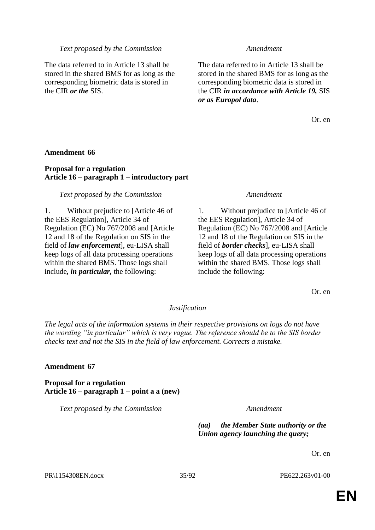# *Text proposed by the Commission Amendment*

The data referred to in Article 13 shall be stored in the shared BMS for as long as the corresponding biometric data is stored in the CIR *or the* SIS.

The data referred to in Article 13 shall be stored in the shared BMS for as long as the corresponding biometric data is stored in the CIR *in accordance with Article 19,* SIS *or as Europol data*.

Or. en

# **Amendment 66**

# **Proposal for a regulation Article 16 – paragraph 1 – introductory part**

# *Text proposed by the Commission Amendment*

1. Without prejudice to [Article 46 of the EES Regulation], Article 34 of Regulation (EC) No 767/2008 and [Article 12 and 18 of the Regulation on SIS in the field of *law enforcement*], eu-LISA shall keep logs of all data processing operations within the shared BMS. Those logs shall include*, in particular,* the following:

1. Without prejudice to [Article 46 of the EES Regulation], Article 34 of Regulation (EC) No 767/2008 and [Article 12 and 18 of the Regulation on SIS in the field of *border checks*], eu-LISA shall keep logs of all data processing operations within the shared BMS. Those logs shall include the following:

Or. en

# *Justification*

*The legal acts of the information systems in their respective provisions on logs do not have the wording "in particular" which is very vague. The reference should be to the SIS border checks text and not the SIS in the field of law enforcement. Corrects a mistake.*

# **Amendment 67**

**Proposal for a regulation Article 16 – paragraph 1 – point a a (new)**

*Text proposed by the Commission Amendment*

*(aa) the Member State authority or the Union agency launching the query;*

Or. en

PR\1154308EN.docx 35/92 PE622.263v01-00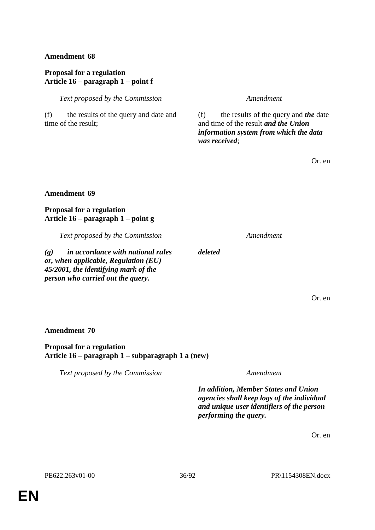# **Proposal for a regulation Article 16 – paragraph 1 – point f**

*Text proposed by the Commission Amendment*

(f) the results of the query and date and time of the result;

(f) the results of the query and *the* date and time of the result *and the Union information system from which the data was received*;

Or. en

# **Amendment 69**

**Proposal for a regulation Article 16 – paragraph 1 – point g**

*Text proposed by the Commission Amendment*

*(g) in accordance with national rules or, when applicable, Regulation (EU) 45/2001, the identifying mark of the person who carried out the query.*

*deleted*

Or. en

**Amendment 70**

**Proposal for a regulation Article 16 – paragraph 1 – subparagraph 1 a (new)**

*Text proposed by the Commission Amendment*

*In addition, Member States and Union agencies shall keep logs of the individual and unique user identifiers of the person performing the query.*

Or. en

PE622.263v01-00 36/92 PR\1154308EN.docx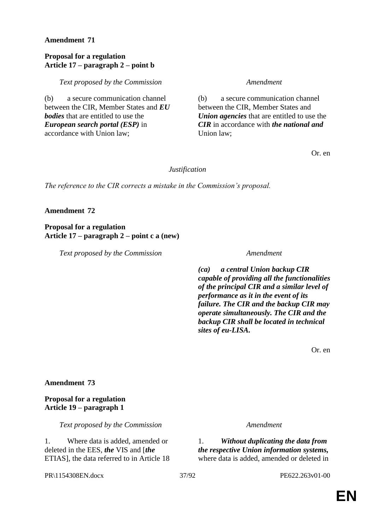## **Proposal for a regulation Article 17 – paragraph 2 – point b**

*Text proposed by the Commission Amendment*

(b) a secure communication channel between the CIR, Member States and *EU bodies* that are entitled to use the *European search portal (ESP)* in accordance with Union law;

(b) a secure communication channel between the CIR, Member States and *Union agencies* that are entitled to use the *CIR* in accordance with *the national and* Union law;

Or. en

## *Justification*

*The reference to the CIR corrects a mistake in the Commission's proposal.*

### **Amendment 72**

**Proposal for a regulation Article 17 – paragraph 2 – point c a (new)**

*Text proposed by the Commission Amendment*

*(ca) a central Union backup CIR capable of providing all the functionalities of the principal CIR and a similar level of performance as it in the event of its failure. The CIR and the backup CIR may operate simultaneously. The CIR and the backup CIR shall be located in technical sites of eu-LISA.*

Or. en

## **Amendment 73**

**Proposal for a regulation Article 19 – paragraph 1**

*Text proposed by the Commission Amendment*

1. Where data is added, amended or deleted in the EES, *the* VIS and [*the* ETIAS], the data referred to in Article 18

1. *Without duplicating the data from the respective Union information systems,* where data is added, amended or deleted in

PR\1154308EN.docx 37/92 PE622.263v01-00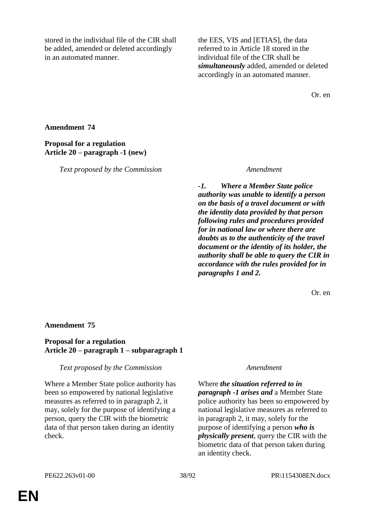stored in the individual file of the CIR shall be added, amended or deleted accordingly in an automated manner.

the EES, VIS and [ETIAS], the data referred to in Article 18 stored in the individual file of the CIR shall be *simultaneously* added, amended or deleted accordingly in an automated manner.

Or. en

## **Amendment 74**

### **Proposal for a regulation Article 20 – paragraph -1 (new)**

*Text proposed by the Commission Amendment*

*-1. Where a Member State police authority was unable to identify a person on the basis of a travel document or with the identity data provided by that person following rules and procedures provided for in national law or where there are doubts as to the authenticity of the travel document or the identity of its holder, the authority shall be able to query the CIR in accordance with the rules provided for in paragraphs 1 and 2.*

Or. en

## **Amendment 75**

# **Proposal for a regulation Article 20 – paragraph 1 – subparagraph 1**

## *Text proposed by the Commission Amendment*

Where a Member State police authority has been so empowered by national legislative measures as referred to in paragraph 2, it may, solely for the purpose of identifying a person, query the CIR with the biometric data of that person taken during an identity check.

Where *the situation referred to in paragraph -1 arises and* a Member State police authority has been so empowered by national legislative measures as referred to in paragraph 2, it may, solely for the purpose of identifying a person *who is physically present*, query the CIR with the biometric data of that person taken during an identity check.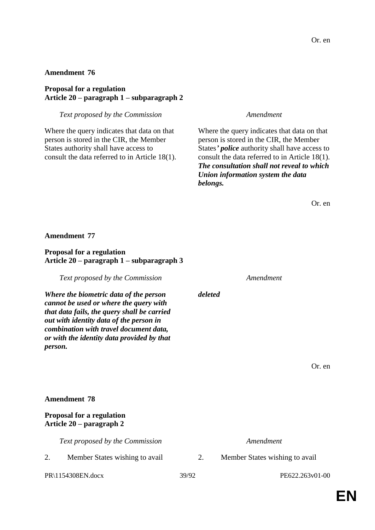### **Proposal for a regulation Article 20 – paragraph 1 – subparagraph 2**

*Text proposed by the Commission Amendment*

Where the query indicates that data on that person is stored in the CIR, the Member States authority shall have access to consult the data referred to in Article 18(1).

Where the query indicates that data on that person is stored in the CIR, the Member States*' police* authority shall have access to consult the data referred to in Article 18(1). *The consultation shall not reveal to which Union information system the data belongs.*

Or. en

### **Amendment 77**

## **Proposal for a regulation Article 20 – paragraph 1 – subparagraph 3**

*Text proposed by the Commission Amendment*

*Where the biometric data of the person cannot be used or where the query with that data fails, the query shall be carried out with identity data of the person in combination with travel document data, or with the identity data provided by that person.*

Or. en

### **Amendment 78**

**Proposal for a regulation Article 20 – paragraph 2**

*Text proposed by the Commission Amendment*

2. Member States wishing to avail 2. Member States wishing to avail

PR\1154308EN.docx 39/92 PE622.263v01-00

*deleted*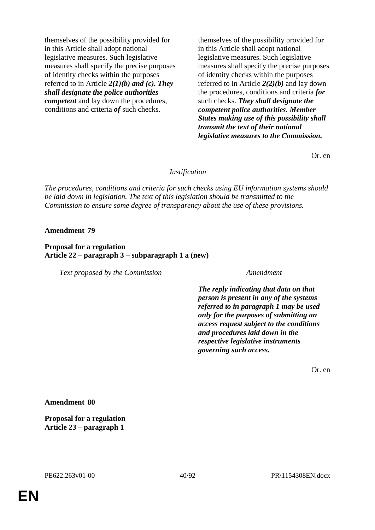themselves of the possibility provided for in this Article shall adopt national legislative measures. Such legislative measures shall specify the precise purposes of identity checks within the purposes referred to in Article *2(1)(b) and (c). They shall designate the police authorities competent* and lay down the procedures, conditions and criteria *of* such checks.

themselves of the possibility provided for in this Article shall adopt national legislative measures. Such legislative measures shall specify the precise purposes of identity checks within the purposes referred to in Article *2(2)(b)* and lay down the procedures, conditions and criteria *for* such checks. *They shall designate the competent police authorities. Member States making use of this possibility shall transmit the text of their national legislative measures to the Commission.*

Or. en

## *Justification*

*The procedures, conditions and criteria for such checks using EU information systems should be laid down in legislation. The text of this legislation should be transmitted to the Commission to ensure some degree of transparency about the use of these provisions.*

### **Amendment 79**

**Proposal for a regulation Article 22 – paragraph 3 – subparagraph 1 a (new)**

*Text proposed by the Commission Amendment*

*The reply indicating that data on that person is present in any of the systems referred to in paragraph 1 may be used only for the purposes of submitting an access request subject to the conditions and procedures laid down in the respective legislative instruments governing such access.*

Or. en

**Amendment 80**

**Proposal for a regulation Article 23 – paragraph 1**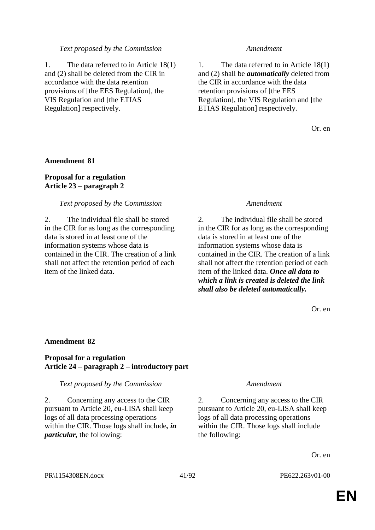1. The data referred to in Article 18(1) and (2) shall be deleted from the CIR in accordance with the data retention provisions of [the EES Regulation], the VIS Regulation and [the ETIAS Regulation] respectively.

1. The data referred to in Article 18(1) and (2) shall be *automatically* deleted from the CIR in accordance with the data retention provisions of [the EES Regulation], the VIS Regulation and [the ETIAS Regulation] respectively.

Or. en

## **Amendment 81**

## **Proposal for a regulation Article 23 – paragraph 2**

### *Text proposed by the Commission Amendment*

2. The individual file shall be stored in the CIR for as long as the corresponding data is stored in at least one of the information systems whose data is contained in the CIR. The creation of a link shall not affect the retention period of each item of the linked data.

2. The individual file shall be stored in the CIR for as long as the corresponding data is stored in at least one of the information systems whose data is contained in the CIR. The creation of a link shall not affect the retention period of each item of the linked data. *Once all data to which a link is created is deleted the link shall also be deleted automatically.*

Or. en

# **Amendment 82**

## **Proposal for a regulation Article 24 – paragraph 2 – introductory part**

### *Text proposed by the Commission Amendment*

2. Concerning any access to the CIR pursuant to Article 20, eu-LISA shall keep logs of all data processing operations within the CIR. Those logs shall include*, in particular,* the following:

2. Concerning any access to the CIR pursuant to Article 20, eu-LISA shall keep logs of all data processing operations within the CIR. Those logs shall include the following: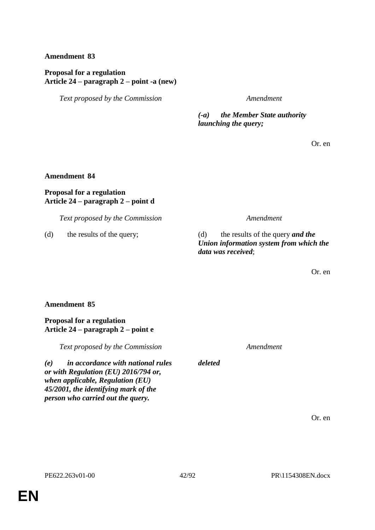# **Proposal for a regulation Article 24 – paragraph 2 – point -a (new)**

*Text proposed by the Commission Amendment*

*(-a) the Member State authority launching the query;*

Or. en

# **Amendment 84**

# **Proposal for a regulation Article 24 – paragraph 2 – point d**

*Text proposed by the Commission Amendment*

(d) the results of the query; (d) the results of the query *and the Union information system from which the data was received*;

Or. en

# **Amendment 85**

**Proposal for a regulation Article 24 – paragraph 2 – point e**

*Text proposed by the Commission Amendment*

*(e) in accordance with national rules or with Regulation (EU) 2016/794 or, when applicable, Regulation (EU) 45/2001, the identifying mark of the person who carried out the query.*

Or. en

*deleted*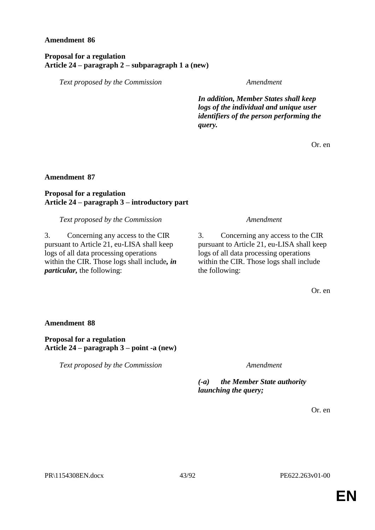## **Proposal for a regulation Article 24 – paragraph 2 – subparagraph 1 a (new)**

*Text proposed by the Commission Amendment*

*In addition, Member States shall keep logs of the individual and unique user identifiers of the person performing the query.*

Or. en

# **Amendment 87**

# **Proposal for a regulation Article 24 – paragraph 3 – introductory part**

*Text proposed by the Commission Amendment*

3. Concerning any access to the CIR pursuant to Article 21, eu-LISA shall keep logs of all data processing operations within the CIR. Those logs shall include*, in particular,* the following:

3. Concerning any access to the CIR pursuant to Article 21, eu-LISA shall keep logs of all data processing operations within the CIR. Those logs shall include the following:

Or. en

## **Amendment 88**

**Proposal for a regulation Article 24 – paragraph 3 – point -a (new)**

*Text proposed by the Commission Amendment*

*(-a) the Member State authority launching the query;*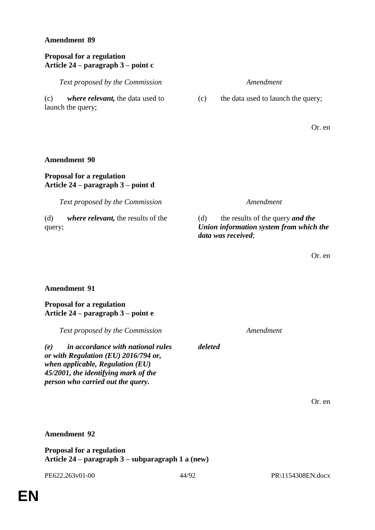# **Proposal for a regulation Article 24 – paragraph 3 – point c**

*Text proposed by the Commission Amendment*

(c) *where relevant,* the data used to launch the query;

(c) the data used to launch the query;

Or. en

# **Amendment 90**

# **Proposal for a regulation Article 24 – paragraph 3 – point d**

*Text proposed by the Commission Amendment*

(d) *where relevant,* the results of the query;

(d) the results of the query *and the Union information system from which the data was received*;

Or. en

# **Amendment 91**

# **Proposal for a regulation Article 24 – paragraph 3 – point e**

*Text proposed by the Commission Amendment*

*(e) in accordance with national rules or with Regulation (EU) 2016/794 or, when applicable, Regulation (EU) 45/2001, the identifying mark of the person who carried out the query.*

Or. en

# **Amendment 92**

**Proposal for a regulation Article 24 – paragraph 3 – subparagraph 1 a (new)**

*deleted*

PE622.263v01-00 44/92 PR\1154308EN.docx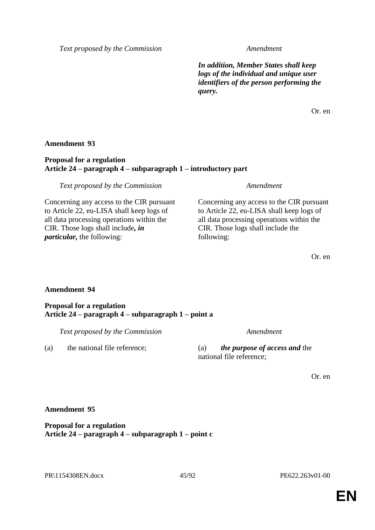*In addition, Member States shall keep logs of the individual and unique user identifiers of the person performing the query.*

Or. en

# **Amendment 93**

## **Proposal for a regulation Article 24 – paragraph 4 – subparagraph 1 – introductory part**

*Text proposed by the Commission Amendment*

Concerning any access to the CIR pursuant to Article 22, eu-LISA shall keep logs of all data processing operations within the CIR. Those logs shall include*, in particular,* the following:

Concerning any access to the CIR pursuant to Article 22, eu-LISA shall keep logs of all data processing operations within the CIR. Those logs shall include the following:

Or. en

# **Amendment 94**

## **Proposal for a regulation Article 24 – paragraph 4 – subparagraph 1 – point a**

*Text proposed by the Commission Amendment*

(a) the national file reference; (a) *the purpose of access and* the national file reference;

Or. en

## **Amendment 95**

# **Proposal for a regulation Article 24 – paragraph 4 – subparagraph 1 – point c**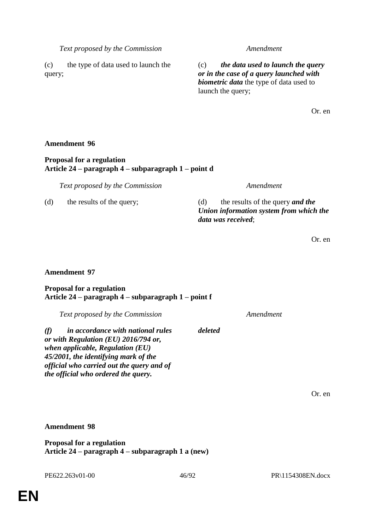(c) the type of data used to launch the query;

(c) *the data used to launch the query or in the case of a query launched with biometric data* the type of data used to launch the query;

Or. en

## **Amendment 96**

### **Proposal for a regulation Article 24 – paragraph 4 – subparagraph 1 – point d**

*Text proposed by the Commission Amendment*

(d) the results of the query; (d) the results of the query *and the Union information system from which the data was received*;

Or. en

## **Amendment 97**

## **Proposal for a regulation Article 24 – paragraph 4 – subparagraph 1 – point f**

*Text proposed by the Commission Amendment*

*(f) in accordance with national rules or with Regulation (EU) 2016/794 or, when applicable, Regulation (EU) 45/2001, the identifying mark of the official who carried out the query and of the official who ordered the query. deleted*

Or. en

**Amendment 98**

**Proposal for a regulation Article 24 – paragraph 4 – subparagraph 1 a (new)**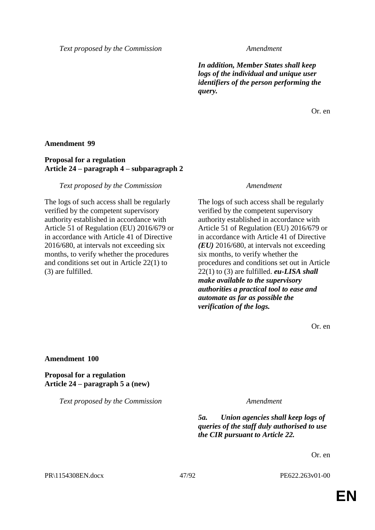*In addition, Member States shall keep logs of the individual and unique user identifiers of the person performing the query.*

Or. en

### **Amendment 99**

## **Proposal for a regulation Article 24 – paragraph 4 – subparagraph 2**

### *Text proposed by the Commission Amendment*

The logs of such access shall be regularly verified by the competent supervisory authority established in accordance with Article 51 of Regulation (EU) 2016/679 or in accordance with Article 41 of Directive 2016/680, at intervals not exceeding six months, to verify whether the procedures and conditions set out in Article 22(1) to (3) are fulfilled.

The logs of such access shall be regularly verified by the competent supervisory authority established in accordance with Article 51 of Regulation (EU) 2016/679 or in accordance with Article 41 of Directive *(EU)* 2016/680, at intervals not exceeding six months, to verify whether the procedures and conditions set out in Article 22(1) to (3) are fulfilled. *eu-LISA shall make available to the supervisory authorities a practical tool to ease and automate as far as possible the verification of the logs.*

Or. en

### **Amendment 100**

**Proposal for a regulation Article 24 – paragraph 5 a (new)**

*Text proposed by the Commission Amendment*

*5a. Union agencies shall keep logs of queries of the staff duly authorised to use the CIR pursuant to Article 22.*

Or. en

PR\1154308EN.docx 47/92 PE622.263v01-00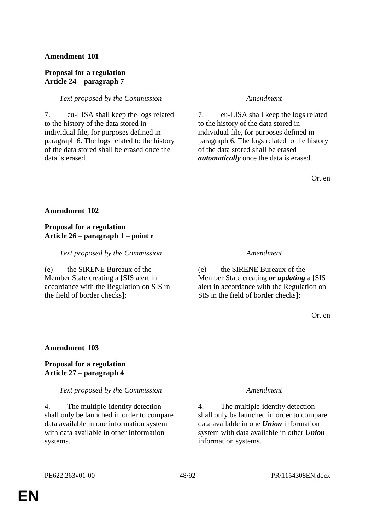# **Proposal for a regulation Article 24 – paragraph 7**

# *Text proposed by the Commission Amendment*

7. eu-LISA shall keep the logs related to the history of the data stored in individual file, for purposes defined in paragraph 6. The logs related to the history of the data stored shall be erased once the data is erased.

7. eu-LISA shall keep the logs related to the history of the data stored in individual file, for purposes defined in paragraph 6. The logs related to the history of the data stored shall be erased *automatically* once the data is erased.

Or. en

# **Amendment 102**

# **Proposal for a regulation Article 26 – paragraph 1 – point e**

# *Text proposed by the Commission Amendment*

(e) the SIRENE Bureaux of the Member State creating a [SIS alert in accordance with the Regulation on SIS in the field of border checks];

(e) the SIRENE Bureaux of the Member State creating *or updating* a [SIS alert in accordance with the Regulation on SIS in the field of border checks];

Or. en

# **Amendment 103**

# **Proposal for a regulation Article 27 – paragraph 4**

## *Text proposed by the Commission Amendment*

4. The multiple-identity detection shall only be launched in order to compare data available in one information system with data available in other information systems.

4. The multiple-identity detection shall only be launched in order to compare data available in one *Union* information system with data available in other *Union* information systems.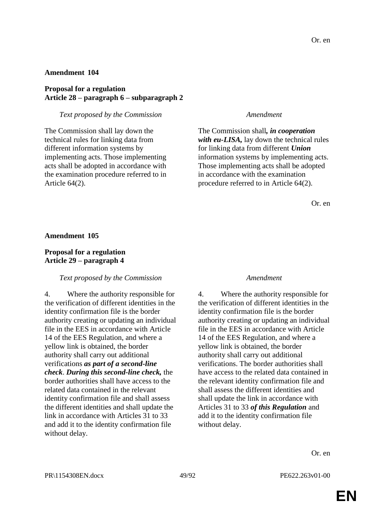## **Proposal for a regulation Article 28 – paragraph 6 – subparagraph 2**

### *Text proposed by the Commission Amendment*

The Commission shall lay down the technical rules for linking data from different information systems by implementing acts. Those implementing acts shall be adopted in accordance with the examination procedure referred to in Article 64(2).

The Commission shall*, in cooperation with eu-LISA,* lay down the technical rules for linking data from different *Union*  information systems by implementing acts. Those implementing acts shall be adopted in accordance with the examination procedure referred to in Article 64(2).

Or. en

### **Amendment 105**

### **Proposal for a regulation Article 29 – paragraph 4**

### *Text proposed by the Commission Amendment*

4. Where the authority responsible for the verification of different identities in the identity confirmation file is the border authority creating or updating an individual file in the EES in accordance with Article 14 of the EES Regulation, and where a yellow link is obtained, the border authority shall carry out additional verifications *as part of a second-line check*. *During this second-line check,* the border authorities shall have access to the related data contained in the relevant identity confirmation file and shall assess the different identities and shall update the link in accordance with Articles 31 to 33 and add it to the identity confirmation file without delay.

4. Where the authority responsible for the verification of different identities in the identity confirmation file is the border authority creating or updating an individual file in the EES in accordance with Article 14 of the EES Regulation, and where a yellow link is obtained, the border authority shall carry out additional verifications. The border authorities shall have access to the related data contained in the relevant identity confirmation file and shall assess the different identities and shall update the link in accordance with Articles 31 to 33 *of this Regulation* and add it to the identity confirmation file without delay.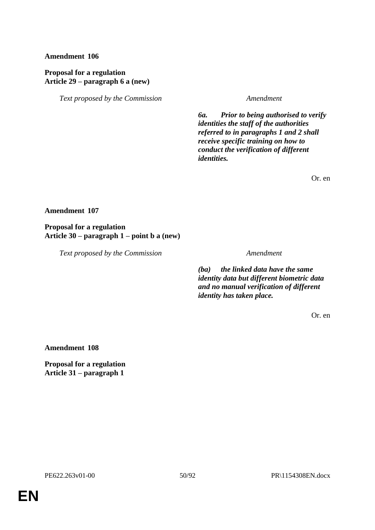# **Proposal for a regulation Article 29 – paragraph 6 a (new)**

*Text proposed by the Commission Amendment*

*6a. Prior to being authorised to verify identities the staff of the authorities referred to in paragraphs 1 and 2 shall receive specific training on how to conduct the verification of different identities.*

Or. en

## **Amendment 107**

**Proposal for a regulation Article 30 – paragraph 1 – point b a (new)**

*Text proposed by the Commission Amendment*

*(ba) the linked data have the same identity data but different biometric data and no manual verification of different identity has taken place.*

Or. en

**Amendment 108**

**Proposal for a regulation Article 31 – paragraph 1**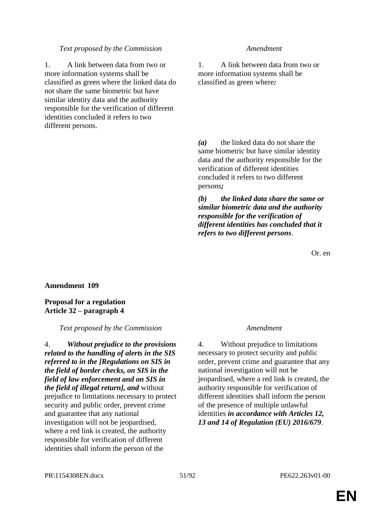1. A link between data from two or more information systems shall be classified as green where the linked data do not share the same biometric but have similar identity data and the authority responsible for the verification of different identities concluded it refers to two different persons.

1. A link between data from two or more information systems shall be classified as green where*:*

*(a)* the linked data do not share the same biometric but have similar identity data and the authority responsible for the verification of different identities concluded it refers to two different persons*;*

*(b) the linked data share the same or similar biometric data and the authority responsible for the verification of different identities has concluded that it refers to two different persons*.

Or. en

## **Amendment 109**

**Proposal for a regulation Article 32 – paragraph 4**

*Text proposed by the Commission Amendment*

4. *Without prejudice to the provisions related to the handling of alerts in the SIS referred to in the [Regulations on SIS in the field of border checks, on SIS in the field of law enforcement and on SIS in the field of illegal return], and* without prejudice to limitations necessary to protect security and public order, prevent crime and guarantee that any national investigation will not be jeopardised, where a red link is created, the authority responsible for verification of different identities shall inform the person of the

4. Without prejudice to limitations necessary to protect security and public order, prevent crime and guarantee that any national investigation will not be jeopardised, where a red link is created, the authority responsible for verification of different identities shall inform the person of the presence of multiple unlawful identities *in accordance with Articles 12, 13 and 14 of Regulation (EU) 2016/679*.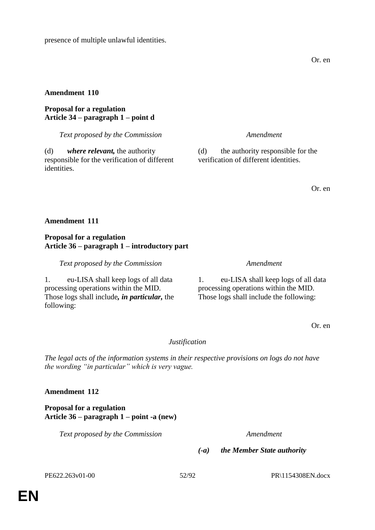# **Proposal for a regulation Article 34 – paragraph 1 – point d**

*Text proposed by the Commission Amendment*

(d) *where relevant,* the authority responsible for the verification of different identities.

(d) the authority responsible for the verification of different identities.

Or. en

# **Amendment 111**

# **Proposal for a regulation Article 36 – paragraph 1 – introductory part**

*Text proposed by the Commission Amendment*

1. eu-LISA shall keep logs of all data processing operations within the MID. Those logs shall include*, in particular,* the following:

1. eu-LISA shall keep logs of all data processing operations within the MID. Those logs shall include the following:

Or. en

*Justification*

*The legal acts of the information systems in their respective provisions on logs do not have the wording "in particular" which is very vague.*

# **Amendment 112**

**Proposal for a regulation Article 36 – paragraph 1 – point -a (new)**

*Text proposed by the Commission Amendment*

*(-a) the Member State authority* 

PE622.263v01-00 52/92 PR\1154308EN.docx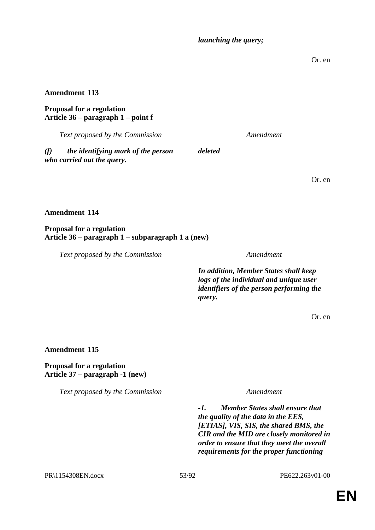*launching the query;*

*deleted*

Or. en

**Amendment 113**

**Proposal for a regulation Article 36 – paragraph 1 – point f**

*Text proposed by the Commission Amendment*

*(f) the identifying mark of the person who carried out the query.*

Or. en

### **Amendment 114**

**Proposal for a regulation Article 36 – paragraph 1 – subparagraph 1 a (new)**

*Text proposed by the Commission Amendment*

*In addition, Member States shall keep logs of the individual and unique user identifiers of the person performing the query.*

Or. en

## **Amendment 115**

## **Proposal for a regulation Article 37 – paragraph -1 (new)**

*Text proposed by the Commission Amendment*

*-1. Member States shall ensure that the quality of the data in the EES, [ETIAS], VIS, SIS, the shared BMS, the CIR and the MID are closely monitored in order to ensure that they meet the overall requirements for the proper functioning* 

PR\1154308EN.docx 53/92 PE622.263v01-00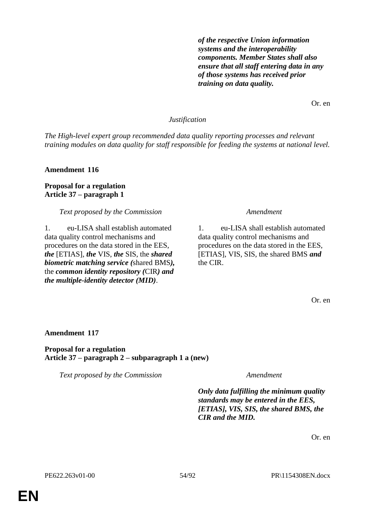*of the respective Union information systems and the interoperability components. Member States shall also ensure that all staff entering data in any of those systems has received prior training on data quality.*

Or. en

### *Justification*

*The High-level expert group recommended data quality reporting processes and relevant training modules on data quality for staff responsible for feeding the systems at national level.*

### **Amendment 116**

## **Proposal for a regulation Article 37 – paragraph 1**

### *Text proposed by the Commission Amendment*

1. eu-LISA shall establish automated data quality control mechanisms and procedures on the data stored in the EES, *the* [ETIAS], *the* VIS, *the* SIS, the *shared biometric matching service (*shared BMS*),* the *common identity repository (*CIR*) and the multiple-identity detector (MID)*.

1. eu-LISA shall establish automated data quality control mechanisms and procedures on the data stored in the EES, [ETIAS], VIS, SIS, the shared BMS *and* the CIR.

Or. en

**Amendment 117**

**Proposal for a regulation Article 37 – paragraph 2 – subparagraph 1 a (new)**

*Text proposed by the Commission Amendment*

*Only data fulfilling the minimum quality standards may be entered in the EES, [ETIAS], VIS, SIS, the shared BMS, the CIR and the MID.*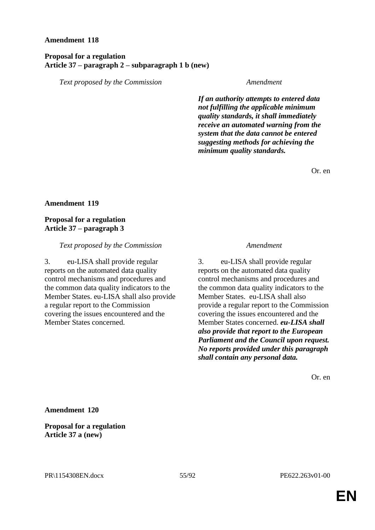### **Proposal for a regulation Article 37 – paragraph 2 – subparagraph 1 b (new)**

*Text proposed by the Commission Amendment*

*If an authority attempts to entered data not fulfilling the applicable minimum quality standards, it shall immediately receive an automated warning from the system that the data cannot be entered suggesting methods for achieving the minimum quality standards.*

Or. en

## **Amendment 119**

# **Proposal for a regulation Article 37 – paragraph 3**

### *Text proposed by the Commission Amendment*

3. eu-LISA shall provide regular reports on the automated data quality control mechanisms and procedures and the common data quality indicators to the Member States. eu-LISA shall also provide a regular report to the Commission covering the issues encountered and the Member States concerned.

3. eu-LISA shall provide regular reports on the automated data quality control mechanisms and procedures and the common data quality indicators to the Member States. eu-LISA shall also provide a regular report to the Commission covering the issues encountered and the Member States concerned. *eu-LISA shall also provide that report to the European Parliament and the Council upon request. No reports provided under this paragraph shall contain any personal data.*

Or. en

**Amendment 120**

**Proposal for a regulation Article 37 a (new)**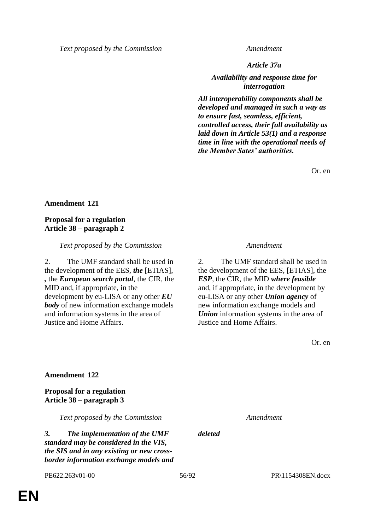*Article 37a*

*Availability and response time for interrogation*

*All interoperability components shall be developed and managed in such a way as to ensure fast, seamless, efficient, controlled access, their full availability as laid down in Article 53(1) and a response time in line with the operational needs of the Member Sates' authorities.*

Or. en

## **Amendment 121**

## **Proposal for a regulation Article 38 – paragraph 2**

*Text proposed by the Commission Amendment*

2. The UMF standard shall be used in the development of the EES, *the* [ETIAS], *,* the *European search portal*, the CIR, the MID and, if appropriate, in the development by eu-LISA or any other *EU body* of new information exchange models and information systems in the area of Justice and Home Affairs.

2. The UMF standard shall be used in the development of the EES, [ETIAS], the *ESP*, the CIR, the MID *where feasible* and, if appropriate, in the development by eu-LISA or any other *Union agency* of new information exchange models and *Union* information systems in the area of Justice and Home Affairs.

Or. en

# **Amendment 122**

**Proposal for a regulation Article 38 – paragraph 3**

*Text proposed by the Commission Amendment*

*3. The implementation of the UMF standard may be considered in the VIS, the SIS and in any existing or new crossborder information exchange models and* 

*deleted*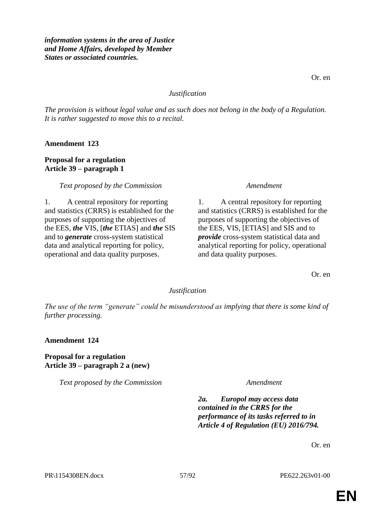### *Justification*

*The provision is without legal value and as such does not belong in the body of a Regulation. It is rather suggested to move this to a recital.*

### **Amendment 123**

## **Proposal for a regulation Article 39 – paragraph 1**

*Text proposed by the Commission Amendment*

1. A central repository for reporting and statistics (CRRS) is established for the purposes of supporting the objectives of the EES, *the* VIS, [*the* ETIAS] and *the* SIS and to *generate* cross-system statistical data and analytical reporting for policy, operational and data quality purposes.

1. A central repository for reporting and statistics (CRRS) is established for the purposes of supporting the objectives of the EES, VIS, [ETIAS] and SIS and to *provide* cross-system statistical data and analytical reporting for policy, operational and data quality purposes.

Or. en

### *Justification*

*The use of the term "generate" could be misunderstood as implying that there is some kind of further processing.*

**Amendment 124**

**Proposal for a regulation Article 39 – paragraph 2 a (new)**

*Text proposed by the Commission Amendment*

*2a. Europol may access data contained in the CRRS for the performance of its tasks referred to in Article 4 of Regulation (EU) 2016/794.*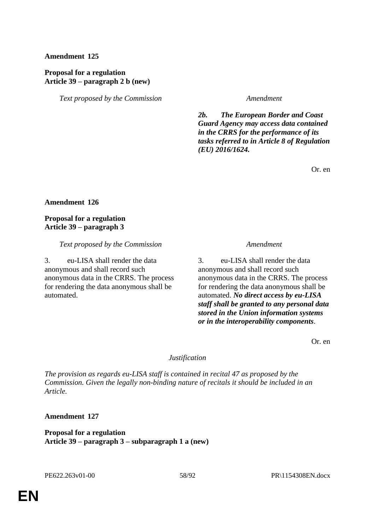# **Proposal for a regulation Article 39 – paragraph 2 b (new)**

*Text proposed by the Commission Amendment*

*2b. The European Border and Coast Guard Agency may access data contained in the CRRS for the performance of its tasks referred to in Article 8 of Regulation (EU) 2016/1624.*

Or. en

# **Amendment 126**

# **Proposal for a regulation Article 39 – paragraph 3**

## *Text proposed by the Commission Amendment*

3. eu-LISA shall render the data anonymous and shall record such anonymous data in the CRRS. The process for rendering the data anonymous shall be automated.

3. eu-LISA shall render the data anonymous and shall record such anonymous data in the CRRS. The process for rendering the data anonymous shall be automated. *No direct access by eu-LISA staff shall be granted to any personal data stored in the Union information systems or in the interoperability components*.

Or. en

# *Justification*

*The provision as regards eu-LISA staff is contained in recital 47 as proposed by the Commission. Given the legally non-binding nature of recitals it should be included in an Article.*

**Amendment 127**

**Proposal for a regulation Article 39 – paragraph 3 – subparagraph 1 a (new)**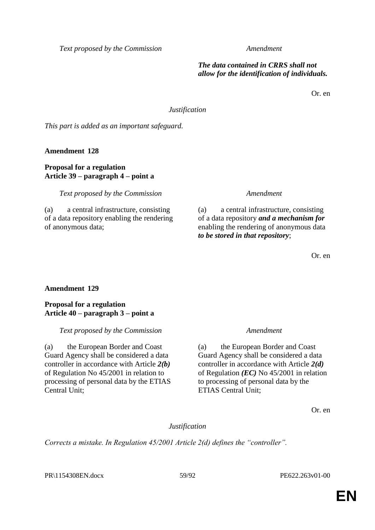*The data contained in CRRS shall not allow for the identification of individuals.*

Or. en

*Justification*

*This part is added as an important safeguard.*

**Amendment 128**

# **Proposal for a regulation Article 39 – paragraph 4 – point a**

*Text proposed by the Commission Amendment*

(a) a central infrastructure, consisting of a data repository enabling the rendering of anonymous data;

(a) a central infrastructure, consisting of a data repository *and a mechanism for* enabling the rendering of anonymous data *to be stored in that repository*;

Or. en

# **Amendment 129**

**Proposal for a regulation Article 40 – paragraph 3 – point a**

*Text proposed by the Commission Amendment*

(a) the European Border and Coast Guard Agency shall be considered a data controller in accordance with Article *2(b)* of Regulation No 45/2001 in relation to processing of personal data by the ETIAS Central Unit;

(a) the European Border and Coast Guard Agency shall be considered a data controller in accordance with Article *2(d)* of Regulation *(EC)* No 45/2001 in relation to processing of personal data by the ETIAS Central Unit;

Or. en

*Justification*

*Corrects a mistake. In Regulation 45/2001 Article 2(d) defines the "controller".*

PR\1154308EN.docx 59/92 PE622.263v01-00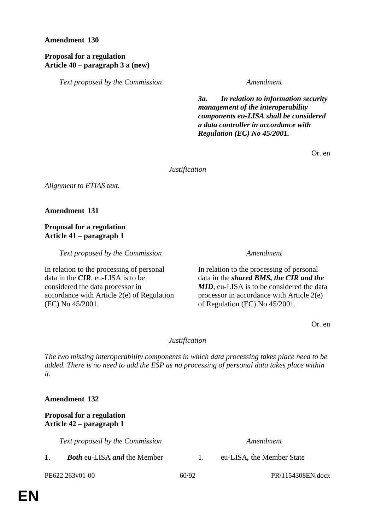# **Proposal for a regulation Article 40 – paragraph 3 a (new)**

*Text proposed by the Commission Amendment*

*3a. In relation to information security management of the interoperability components eu-LISA shall be considered a data controller in accordance with Regulation (EC) No 45/2001.*

Or. en

*Justification*

*Alignment to ETIAS text.*

**Amendment 131**

# **Proposal for a regulation Article 41 – paragraph 1**

*Text proposed by the Commission Amendment*

In relation to the processing of personal data in the *CIR*, eu-LISA is to be considered the data processor in accordance with Article 2(e) of Regulation (EC) No 45/2001.

In relation to the processing of personal data in the *shared BMS, the CIR and the MID*, eu-LISA is to be considered the data processor in accordance with Article 2(e) of Regulation (EC) No 45/2001.

Or. en

*Justification*

*The two missing interoperability components in which data processing takes place need to be added. There is no need to add the ESP as no processing of personal data takes place within it.*

**Amendment 132**

**Proposal for a regulation Article 42 – paragraph 1**

*Text proposed by the Commission Amendment*

1. *Both* eu-LISA *and* the Member 1. eu-LISA*,* the Member State

PE622.263v01-00 60/92 PR\1154308EN.docx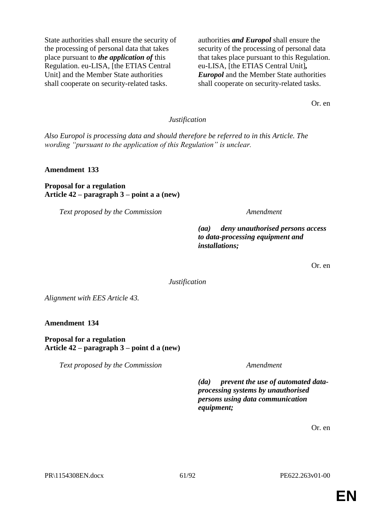State authorities shall ensure the security of the processing of personal data that takes place pursuant to *the application of* this Regulation. eu-LISA, [the ETIAS Central Unit] and the Member State authorities shall cooperate on security-related tasks.

authorities *and Europol* shall ensure the security of the processing of personal data that takes place pursuant to this Regulation. eu-LISA, [the ETIAS Central Unit]*, Europol* and the Member State authorities shall cooperate on security-related tasks.

Or. en

### *Justification*

*Also Europol is processing data and should therefore be referred to in this Article. The wording "pursuant to the application of this Regulation" is unclear.*

**Amendment 133**

**Proposal for a regulation Article 42 – paragraph 3 – point a a (new)**

*Text proposed by the Commission Amendment*

*(aa) deny unauthorised persons access to data-processing equipment and installations;*

Or. en

*Justification*

*Alignment with EES Article 43.*

**Amendment 134**

**Proposal for a regulation Article 42 – paragraph 3 – point d a (new)**

*Text proposed by the Commission Amendment*

*(da) prevent the use of automated dataprocessing systems by unauthorised persons using data communication equipment;*

Or. en

PR\1154308EN.docx 61/92 PE622.263v01-00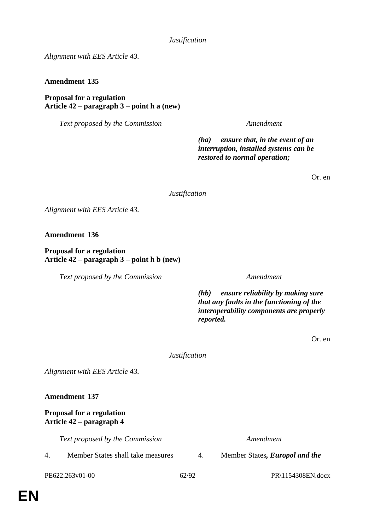**Proposal for a regulation Article 42 – paragraph 3 – point h b (new)**

*Alignment with EES Article 43.*

**Amendment 136**

*Text proposed by the Commission Amendment*

### *Justification*

*Alignment with EES Article 43.*

**Amendment 135**

**Proposal for a regulation Article 42 – paragraph 3 – point h a (new)**

*Text proposed by the Commission Amendment*

*(ha) ensure that, in the event of an interruption, installed systems can be restored to normal operation;*

Or. en

*Justification*

*(hb) ensure reliability by making sure that any faults in the functioning of the interoperability components are properly reported.*

Or. en

*Justification*

*Alignment with EES Article 43.*

**Amendment 137**

**Proposal for a regulation Article 42 – paragraph 4**

*Text proposed by the Commission Amendment*

4. Member States shall take measures 4. Member States*, Europol and the* 

PE622.263v01-00 62/92 PR\1154308EN.docx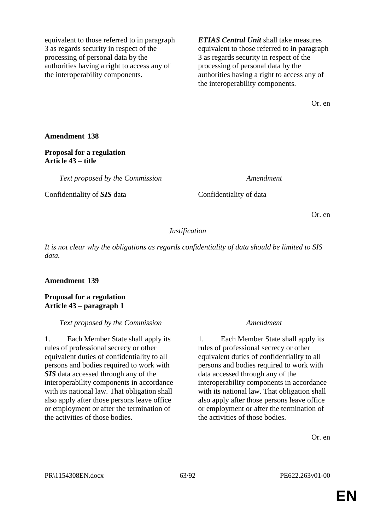equivalent to those referred to in paragraph 3 as regards security in respect of the processing of personal data by the authorities having a right to access any of the interoperability components.

*ETIAS Central Unit* shall take measures equivalent to those referred to in paragraph 3 as regards security in respect of the processing of personal data by the authorities having a right to access any of the interoperability components.

Or. en

### **Amendment 138**

## **Proposal for a regulation Article 43 – title**

*Text proposed by the Commission Amendment*

Confidentiality of *SIS* data Confidentiality of data

Or. en

### *Justification*

*It is not clear why the obligations as regards confidentiality of data should be limited to SIS data.*

## **Amendment 139**

## **Proposal for a regulation Article 43 – paragraph 1**

### *Text proposed by the Commission Amendment*

1. Each Member State shall apply its rules of professional secrecy or other equivalent duties of confidentiality to all persons and bodies required to work with *SIS* data accessed through any of the interoperability components in accordance with its national law. That obligation shall also apply after those persons leave office or employment or after the termination of the activities of those bodies.

1. Each Member State shall apply its rules of professional secrecy or other equivalent duties of confidentiality to all persons and bodies required to work with data accessed through any of the interoperability components in accordance with its national law. That obligation shall also apply after those persons leave office or employment or after the termination of the activities of those bodies.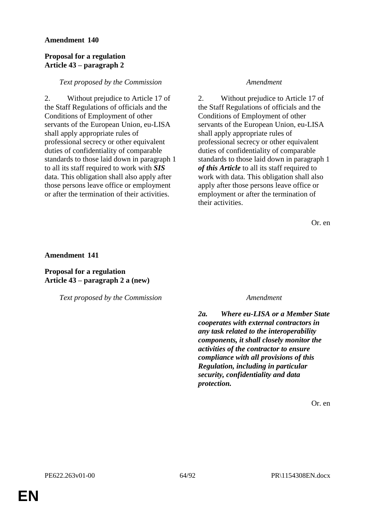## **Proposal for a regulation Article 43 – paragraph 2**

## *Text proposed by the Commission Amendment*

2. Without prejudice to Article 17 of the Staff Regulations of officials and the Conditions of Employment of other servants of the European Union, eu-LISA shall apply appropriate rules of professional secrecy or other equivalent duties of confidentiality of comparable standards to those laid down in paragraph 1 to all its staff required to work with *SIS* data. This obligation shall also apply after those persons leave office or employment or after the termination of their activities.

2. Without prejudice to Article 17 of the Staff Regulations of officials and the Conditions of Employment of other servants of the European Union, eu-LISA shall apply appropriate rules of professional secrecy or other equivalent duties of confidentiality of comparable standards to those laid down in paragraph 1 *of this Article* to all its staff required to work with data. This obligation shall also apply after those persons leave office or employment or after the termination of their activities.

Or. en

**Amendment 141**

**Proposal for a regulation Article 43 – paragraph 2 a (new)**

*Text proposed by the Commission Amendment*

*2a. Where eu-LISA or a Member State cooperates with external contractors in any task related to the interoperability components, it shall closely monitor the activities of the contractor to ensure compliance with all provisions of this Regulation, including in particular security, confidentiality and data protection.*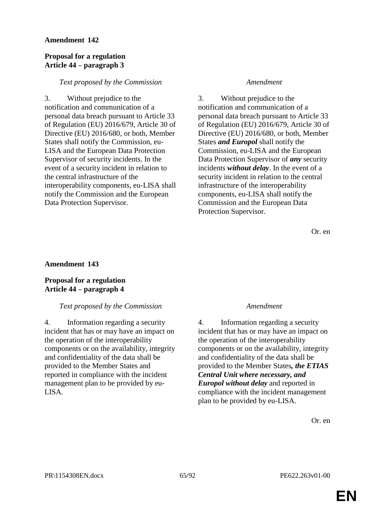## **Proposal for a regulation Article 44 – paragraph 3**

## *Text proposed by the Commission Amendment*

3. Without prejudice to the notification and communication of a personal data breach pursuant to Article 33 of Regulation (EU) 2016/679, Article 30 of Directive (EU) 2016/680, or both, Member States shall notify the Commission, eu-LISA and the European Data Protection Supervisor of security incidents. In the event of a security incident in relation to the central infrastructure of the interoperability components, eu-LISA shall notify the Commission and the European Data Protection Supervisor.

3. Without prejudice to the notification and communication of a personal data breach pursuant to Article 33 of Regulation (EU) 2016/679, Article 30 of Directive (EU) 2016/680, or both, Member States *and Europol* shall notify the Commission, eu-LISA and the European Data Protection Supervisor of *any* security incidents *without delay*. In the event of a security incident in relation to the central infrastructure of the interoperability components, eu-LISA shall notify the Commission and the European Data Protection Supervisor.

Or. en

## **Amendment 143**

# **Proposal for a regulation Article 44 – paragraph 4**

## *Text proposed by the Commission Amendment*

4. Information regarding a security incident that has or may have an impact on the operation of the interoperability components or on the availability, integrity and confidentiality of the data shall be provided to the Member States and reported in compliance with the incident management plan to be provided by eu-LISA.

4. Information regarding a security incident that has or may have an impact on the operation of the interoperability components or on the availability, integrity and confidentiality of the data shall be provided to the Member States*, the ETIAS Central Unit where necessary, and Europol without delay* and reported in compliance with the incident management plan to be provided by eu-LISA.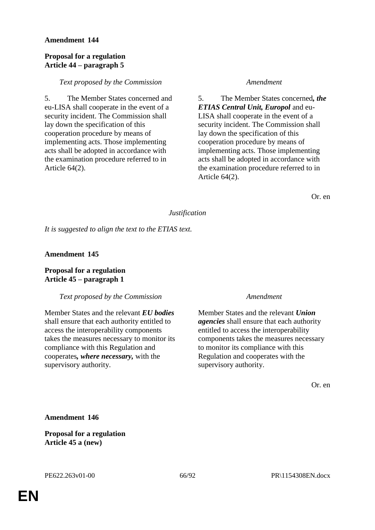### **Proposal for a regulation Article 44 – paragraph 5**

### *Text proposed by the Commission Amendment*

5. The Member States concerned and eu-LISA shall cooperate in the event of a security incident. The Commission shall lay down the specification of this cooperation procedure by means of implementing acts. Those implementing acts shall be adopted in accordance with the examination procedure referred to in Article 64(2).

5. The Member States concerned*, the ETIAS Central Unit, Europol* and eu-LISA shall cooperate in the event of a security incident. The Commission shall lay down the specification of this cooperation procedure by means of implementing acts. Those implementing acts shall be adopted in accordance with the examination procedure referred to in Article 64(2).

Or. en

## *Justification*

*It is suggested to align the text to the ETIAS text.*

### **Amendment 145**

## **Proposal for a regulation Article 45 – paragraph 1**

### *Text proposed by the Commission Amendment*

Member States and the relevant *EU bodies* shall ensure that each authority entitled to access the interoperability components takes the measures necessary to monitor its compliance with this Regulation and cooperates*, where necessary,* with the supervisory authority.

Member States and the relevant *Union agencies* shall ensure that each authority entitled to access the interoperability components takes the measures necessary to monitor its compliance with this Regulation and cooperates with the supervisory authority.

Or. en

## **Amendment 146**

**Proposal for a regulation Article 45 a (new)**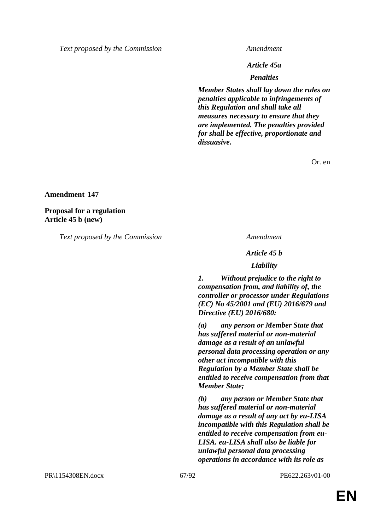*Article 45a*

*Penalties*

*Member States shall lay down the rules on penalties applicable to infringements of this Regulation and shall take all measures necessary to ensure that they are implemented. The penalties provided for shall be effective, proportionate and dissuasive.*

Or. en

**Amendment 147**

**Proposal for a regulation Article 45 b (new)**

*Text proposed by the Commission Amendment*

*Article 45 b*

*Liability*

*1. Without prejudice to the right to compensation from, and liability of, the controller or processor under Regulations (EC) No 45/2001 and (EU) 2016/679 and Directive (EU) 2016/680:*

*(a) any person or Member State that has suffered material or non-material damage as a result of an unlawful personal data processing operation or any other act incompatible with this Regulation by a Member State shall be entitled to receive compensation from that Member State;*

*(b) any person or Member State that has suffered material or non-material damage as a result of any act by eu-LISA incompatible with this Regulation shall be entitled to receive compensation from eu-LISA. eu-LISA shall also be liable for unlawful personal data processing operations in accordance with its role as* 

PR\1154308EN.docx 67/92 PE622.263v01-00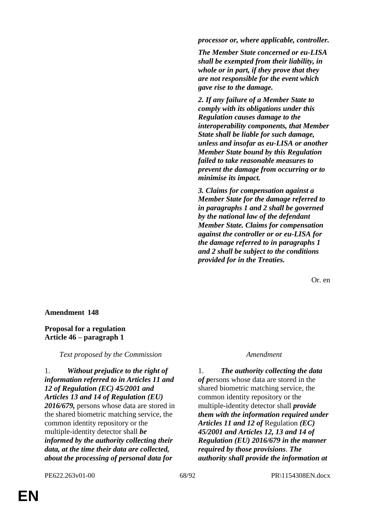*processor or, where applicable, controller.*

*The Member State concerned or eu-LISA shall be exempted from their liability, in whole or in part, if they prove that they are not responsible for the event which gave rise to the damage.*

*2. If any failure of a Member State to comply with its obligations under this Regulation causes damage to the interoperability components, that Member State shall be liable for such damage, unless and insofar as eu-LISA or another Member State bound by this Regulation failed to take reasonable measures to prevent the damage from occurring or to minimise its impact.*

*3. Claims for compensation against a Member State for the damage referred to in paragraphs 1 and 2 shall be governed by the national law of the defendant Member State. Claims for compensation against the controller or or eu-LISA for the damage referred to in paragraphs 1 and 2 shall be subject to the conditions provided for in the Treaties.*

Or. en

## **Amendment 148**

# **Proposal for a regulation Article 46 – paragraph 1**

*Text proposed by the Commission Amendment*

1. *Without prejudice to the right of information referred to in Articles 11 and 12 of Regulation (EC) 45/2001 and Articles 13 and 14 of Regulation (EU) 2016/679,* persons whose data are stored in the shared biometric matching service, the common identity repository or the multiple-identity detector shall *be informed by the authority collecting their data, at the time their data are collected, about the processing of personal data for* 

1. *The authority collecting the data of p*ersons whose data are stored in the shared biometric matching service, the common identity repository or the multiple-identity detector shall *provide them with the information required under Articles 11 and 12 of* Regulation *(EC) 45/2001 and Articles 12, 13 and 14 of Regulation (EU) 2016/679 in the manner required by those provisions*. *The authority shall provide the information at*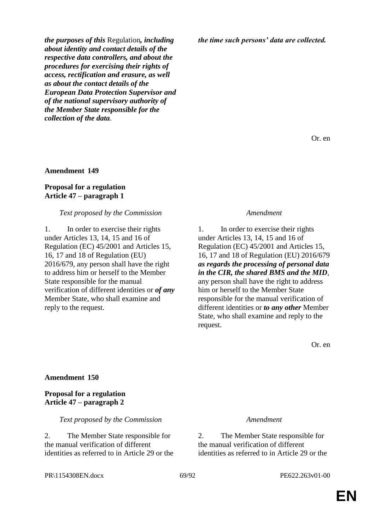*the purposes of this* Regulation*, including about identity and contact details of the respective data controllers, and about the procedures for exercising their rights of access, rectification and erasure, as well as about the contact details of the European Data Protection Supervisor and of the national supervisory authority of the Member State responsible for the collection of the data*.

*the time such persons' data are collected.*

Or. en

### **Amendment 149**

### **Proposal for a regulation Article 47 – paragraph 1**

### *Text proposed by the Commission Amendment*

1. In order to exercise their rights under Articles 13, 14, 15 and 16 of Regulation (EC) 45/2001 and Articles 15, 16, 17 and 18 of Regulation (EU) 2016/679, any person shall have the right to address him or herself to the Member State responsible for the manual verification of different identities or *of any* Member State, who shall examine and reply to the request.

1. In order to exercise their rights under Articles 13, 14, 15 and 16 of Regulation (EC) 45/2001 and Articles 15, 16, 17 and 18 of Regulation (EU) 2016/679 *as regards the processing of personal data in the CIR, the shared BMS and the MID*, any person shall have the right to address him or herself to the Member State responsible for the manual verification of different identities or *to any other* Member State, who shall examine and reply to the request.

Or. en

### **Amendment 150**

### **Proposal for a regulation Article 47 – paragraph 2**

*Text proposed by the Commission Amendment*

2. The Member State responsible for the manual verification of different identities as referred to in Article 29 or the

2. The Member State responsible for the manual verification of different identities as referred to in Article 29 or the

PR\1154308EN.docx 69/92 PE622.263v01-00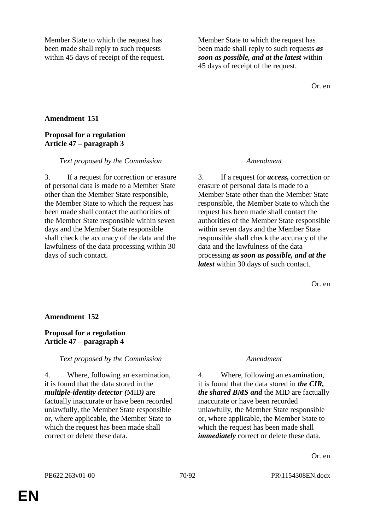Member State to which the request has been made shall reply to such requests within 45 days of receipt of the request. Member State to which the request has been made shall reply to such requests *as soon as possible, and at the latest* within 45 days of receipt of the request.

Or. en

## **Amendment 151**

## **Proposal for a regulation Article 47 – paragraph 3**

### *Text proposed by the Commission Amendment*

3. If a request for correction or erasure of personal data is made to a Member State other than the Member State responsible, the Member State to which the request has been made shall contact the authorities of the Member State responsible within seven days and the Member State responsible shall check the accuracy of the data and the lawfulness of the data processing within 30 days of such contact.

3. If a request for *access,* correction or erasure of personal data is made to a Member State other than the Member State responsible, the Member State to which the request has been made shall contact the authorities of the Member State responsible within seven days and the Member State responsible shall check the accuracy of the data and the lawfulness of the data processing *as soon as possible, and at the latest* within 30 days of such contact.

Or. en

### **Amendment 152**

### **Proposal for a regulation Article 47 – paragraph 4**

### *Text proposed by the Commission Amendment*

4. Where, following an examination, it is found that the data stored in the *multiple-identity detector (*MID*)* are factually inaccurate or have been recorded unlawfully, the Member State responsible or, where applicable, the Member State to which the request has been made shall correct or delete these data.

4. Where, following an examination, it is found that the data stored in *the CIR, the shared BMS and* the MID are factually inaccurate or have been recorded unlawfully, the Member State responsible or, where applicable, the Member State to which the request has been made shall *immediately* correct or delete these data.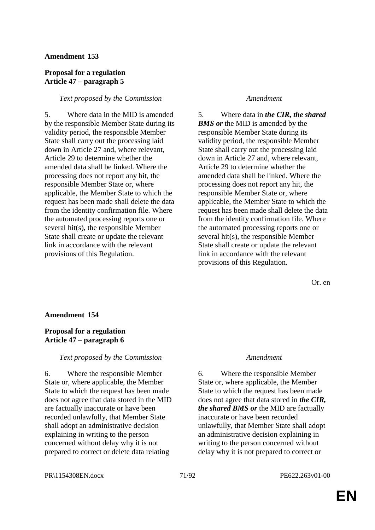## **Proposal for a regulation Article 47 – paragraph 5**

### *Text proposed by the Commission Amendment*

5. Where data in the MID is amended by the responsible Member State during its validity period, the responsible Member State shall carry out the processing laid down in Article 27 and, where relevant, Article 29 to determine whether the amended data shall be linked. Where the processing does not report any hit, the responsible Member State or, where applicable, the Member State to which the request has been made shall delete the data from the identity confirmation file. Where the automated processing reports one or several hit(s), the responsible Member State shall create or update the relevant link in accordance with the relevant provisions of this Regulation.

5. Where data in *the CIR, the shared BMS or* the MID is amended by the responsible Member State during its validity period, the responsible Member State shall carry out the processing laid down in Article 27 and, where relevant, Article 29 to determine whether the amended data shall be linked. Where the processing does not report any hit, the responsible Member State or, where applicable, the Member State to which the request has been made shall delete the data from the identity confirmation file. Where the automated processing reports one or several hit(s), the responsible Member State shall create or update the relevant link in accordance with the relevant provisions of this Regulation.

Or. en

## **Amendment 154**

# **Proposal for a regulation Article 47 – paragraph 6**

### *Text proposed by the Commission Amendment*

6. Where the responsible Member State or, where applicable, the Member State to which the request has been made does not agree that data stored in the MID are factually inaccurate or have been recorded unlawfully, that Member State shall adopt an administrative decision explaining in writing to the person concerned without delay why it is not prepared to correct or delete data relating

6. Where the responsible Member State or, where applicable, the Member State to which the request has been made does not agree that data stored in *the CIR, the shared BMS or* the MID are factually inaccurate or have been recorded unlawfully, that Member State shall adopt an administrative decision explaining in writing to the person concerned without delay why it is not prepared to correct or

PR\1154308EN.docx 71/92 PE622.263v01-00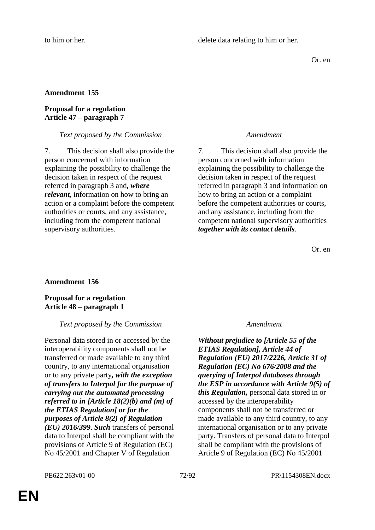### Or. en

# **Amendment 155**

# **Proposal for a regulation Article 47 – paragraph 7**

## *Text proposed by the Commission Amendment*

7. This decision shall also provide the person concerned with information explaining the possibility to challenge the decision taken in respect of the request referred in paragraph 3 and*, where relevant,* information on how to bring an action or a complaint before the competent authorities or courts, and any assistance, including from the competent national supervisory authorities.

7. This decision shall also provide the person concerned with information explaining the possibility to challenge the decision taken in respect of the request referred in paragraph 3 and information on how to bring an action or a complaint before the competent authorities or courts, and any assistance, including from the competent national supervisory authorities *together with its contact details*.

Or. en

# **Amendment 156**

**Proposal for a regulation Article 48 – paragraph 1**

## *Text proposed by the Commission Amendment*

Personal data stored in or accessed by the interoperability components shall not be transferred or made available to any third country, to any international organisation or to any private party*, with the exception of transfers to Interpol for the purpose of carrying out the automated processing referred to in [Article 18(2)(b) and (m) of the ETIAS Regulation] or for the purposes of Article 8(2) of Regulation (EU) 2016/399*. *Such* transfers of personal data to Interpol shall be compliant with the provisions of Article 9 of Regulation (EC) No 45/2001 and Chapter V of Regulation

*Without prejudice to [Article 55 of the ETIAS Regulation], Article 44 of Regulation (EU) 2017/2226, Article 31 of Regulation (EC) No 676/2008 and the querying of Interpol databases through the ESP in accordance with Article 9(5) of this Regulation,* personal data stored in or accessed by the interoperability components shall not be transferred or made available to any third country, to any international organisation or to any private party. Transfers of personal data to Interpol shall be compliant with the provisions of Article 9 of Regulation (EC) No 45/2001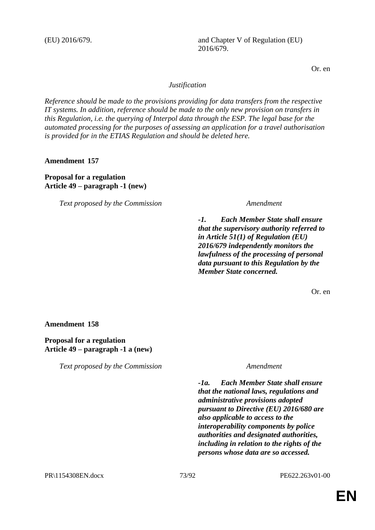(EU) 2016/679. and Chapter V of Regulation (EU) 2016/679.

Or. en

## *Justification*

*Reference should be made to the provisions providing for data transfers from the respective IT systems. In addition, reference should be made to the only new provision on transfers in this Regulation, i.e. the querying of Interpol data through the ESP. The legal base for the automated processing for the purposes of assessing an application for a travel authorisation is provided for in the ETIAS Regulation and should be deleted here.*

# **Amendment 157**

# **Proposal for a regulation Article 49 – paragraph -1 (new)**

*Text proposed by the Commission Amendment*

*-1. Each Member State shall ensure that the supervisory authority referred to in Article 51(1) of Regulation (EU) 2016/679 independently monitors the lawfulness of the processing of personal data pursuant to this Regulation by the Member State concerned.*

Or. en

**Amendment 158**

**Proposal for a regulation Article 49 – paragraph -1 a (new)**

*Text proposed by the Commission Amendment*

*-1a. Each Member State shall ensure that the national laws, regulations and administrative provisions adopted pursuant to Directive (EU) 2016/680 are also applicable to access to the interoperability components by police authorities and designated authorities, including in relation to the rights of the persons whose data are so accessed.*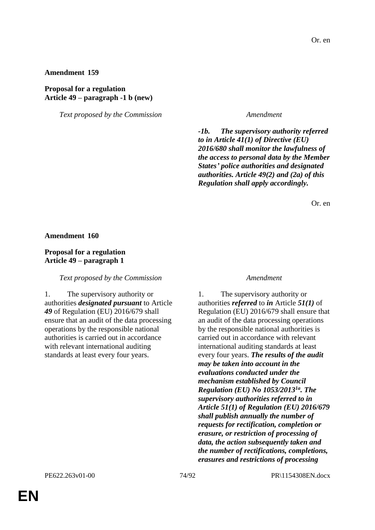## **Proposal for a regulation Article 49 – paragraph -1 b (new)**

*Text proposed by the Commission Amendment*

*-1b. The supervisory authority referred to in Article 41(1) of Directive (EU) 2016/680 shall monitor the lawfulness of the access to personal data by the Member States' police authorities and designated authorities. Article 49(2) and (2a) of this Regulation shall apply accordingly.*

Or. en

### **Amendment 160**

### **Proposal for a regulation Article 49 – paragraph 1**

### *Text proposed by the Commission Amendment*

1. The supervisory authority or authorities *designated pursuant* to Article *49* of Regulation (EU) 2016/679 shall ensure that an audit of the data processing operations by the responsible national authorities is carried out in accordance with relevant international auditing standards at least every four years.

1. The supervisory authority or authorities *referred* to *in* Article *51(1)* of Regulation (EU) 2016/679 shall ensure that an audit of the data processing operations by the responsible national authorities is carried out in accordance with relevant international auditing standards at least every four years. *The results of the audit may be taken into account in the evaluations conducted under the mechanism established by Council Regulation (EU) No 1053/20131a. The supervisory authorities referred to in Article 51(1) of Regulation (EU) 2016/679 shall publish annually the number of requests for rectification, completion or erasure, or restriction of processing of data, the action subsequently taken and the number of rectifications, completions, erasures and restrictions of processing*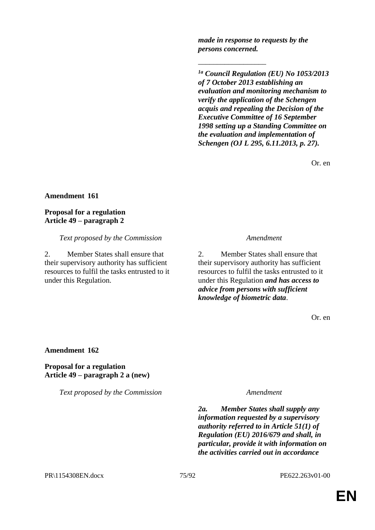*made in response to requests by the persons concerned.*

\_\_\_\_\_\_\_\_\_\_\_\_\_\_\_\_\_\_

*1a Council Regulation (EU) No 1053/2013 of 7 October 2013 establishing an evaluation and monitoring mechanism to verify the application of the Schengen acquis and repealing the Decision of the Executive Committee of 16 September 1998 setting up a Standing Committee on the evaluation and implementation of Schengen (OJ L 295, 6.11.2013, p. 27).*

Or. en

### **Amendment 161**

**Proposal for a regulation Article 49 – paragraph 2**

*Text proposed by the Commission Amendment*

2. Member States shall ensure that their supervisory authority has sufficient resources to fulfil the tasks entrusted to it under this Regulation.

2. Member States shall ensure that their supervisory authority has sufficient resources to fulfil the tasks entrusted to it under this Regulation *and has access to advice from persons with sufficient knowledge of biometric data*.

Or. en

### **Amendment 162**

**Proposal for a regulation Article 49 – paragraph 2 a (new)**

*Text proposed by the Commission Amendment*

*2a. Member States shall supply any information requested by a supervisory authority referred to in Article 51(1) of Regulation (EU) 2016/679 and shall, in particular, provide it with information on the activities carried out in accordance*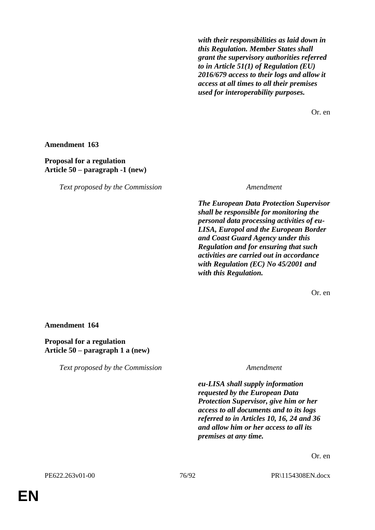*with their responsibilities as laid down in this Regulation. Member States shall grant the supervisory authorities referred to in Article 51(1) of Regulation (EU) 2016/679 access to their logs and allow it access at all times to all their premises used for interoperability purposes.*

Or. en

**Amendment 163**

# **Proposal for a regulation Article 50 – paragraph -1 (new)**

*Text proposed by the Commission Amendment*

*The European Data Protection Supervisor shall be responsible for monitoring the personal data processing activities of eu-LISA, Europol and the European Border and Coast Guard Agency under this Regulation and for ensuring that such activities are carried out in accordance with Regulation (EC) No 45/2001 and with this Regulation.*

Or. en

## **Amendment 164**

### **Proposal for a regulation Article 50 – paragraph 1 a (new)**

*Text proposed by the Commission Amendment*

*eu-LISA shall supply information requested by the European Data Protection Supervisor, give him or her access to all documents and to its logs referred to in Articles 10, 16, 24 and 36 and allow him or her access to all its premises at any time.*

Or. en

PE622.263v01-00 76/92 PR\1154308EN.docx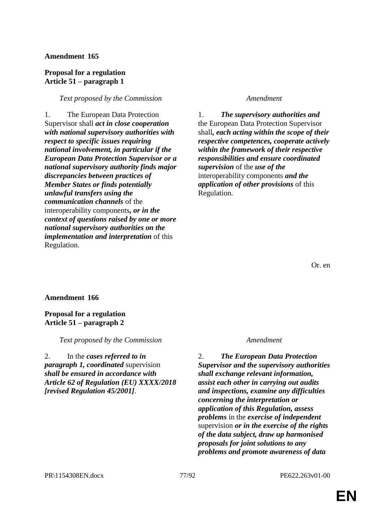# **Proposal for a regulation Article 51 – paragraph 1**

## *Text proposed by the Commission Amendment*

1. The European Data Protection Supervisor shall *act in close cooperation with national supervisory authorities with respect to specific issues requiring national involvement, in particular if the European Data Protection Supervisor or a national supervisory authority finds major discrepancies between practices of Member States or finds potentially unlawful transfers using the communication channels* of the interoperability components*, or in the context of questions raised by one or more national supervisory authorities on the implementation and interpretation* of this Regulation.

1. *The supervisory authorities and* the European Data Protection Supervisor shall*, each acting within the scope of their respective competences, cooperate actively within the framework of their respective responsibilities and ensure coordinated supervision* of the *use of the*  interoperability components *and the application of other provisions* of this Regulation.

Or. en

# **Amendment 166**

# **Proposal for a regulation Article 51 – paragraph 2**

*Text proposed by the Commission Amendment*

2. In the *cases referred to in paragraph 1, coordinated* supervision *shall be ensured in accordance with Article 62 of Regulation (EU) XXXX/2018 [revised Regulation 45/2001]*.

2. *The European Data Protection Supervisor and the supervisory authorities shall exchange relevant information, assist each other in carrying out audits and inspections, examine any difficulties concerning the interpretation or application of this Regulation, assess problems* in the *exercise of independent* supervision *or in the exercise of the rights of the data subject, draw up harmonised proposals for joint solutions to any problems and promote awareness of data*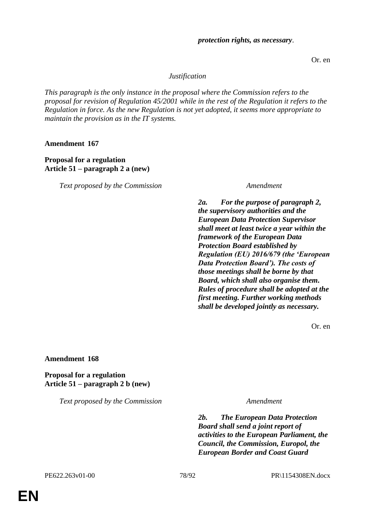## Or. en

## *Justification*

*This paragraph is the only instance in the proposal where the Commission refers to the proposal for revision of Regulation 45/2001 while in the rest of the Regulation it refers to the Regulation in force. As the new Regulation is not yet adopted, it seems more appropriate to maintain the provision as in the IT systems.*

### **Amendment 167**

# **Proposal for a regulation Article 51 – paragraph 2 a (new)**

*Text proposed by the Commission Amendment*

*2a. For the purpose of paragraph 2, the supervisory authorities and the European Data Protection Supervisor shall meet at least twice a year within the framework of the European Data Protection Board established by Regulation (EU) 2016/679 (the 'European Data Protection Board'). The costs of those meetings shall be borne by that Board, which shall also organise them. Rules of procedure shall be adopted at the first meeting. Further working methods shall be developed jointly as necessary.*

Or. en

### **Amendment 168**

**Proposal for a regulation Article 51 – paragraph 2 b (new)**

*Text proposed by the Commission Amendment*

*2b. The European Data Protection Board shall send a joint report of activities to the European Parliament, the Council, the Commission, Europol, the European Border and Coast Guard*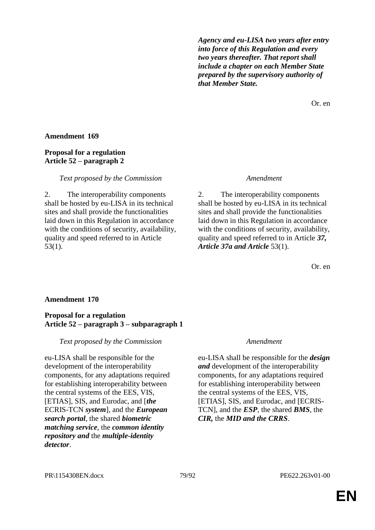*Agency and eu-LISA two years after entry into force of this Regulation and every two years thereafter. That report shall include a chapter on each Member State prepared by the supervisory authority of that Member State.*

Or. en

### **Amendment 169**

## **Proposal for a regulation Article 52 – paragraph 2**

### *Text proposed by the Commission Amendment*

2. The interoperability components shall be hosted by eu-LISA in its technical sites and shall provide the functionalities laid down in this Regulation in accordance with the conditions of security, availability, quality and speed referred to in Article 53(1).

2. The interoperability components shall be hosted by eu-LISA in its technical sites and shall provide the functionalities laid down in this Regulation in accordance with the conditions of security, availability, quality and speed referred to in Article *37, Article 37a and Article* 53(1).

Or. en

## **Amendment 170**

## **Proposal for a regulation Article 52 – paragraph 3 – subparagraph 1**

## *Text proposed by the Commission Amendment*

eu-LISA shall be responsible for the development of the interoperability components, for any adaptations required for establishing interoperability between the central systems of the EES, VIS, [ETIAS], SIS, and Eurodac, and [*the* ECRIS-TCN *system*], and the *European search portal*, the shared *biometric matching service*, the *common identity repository and* the *multiple-identity detector*.

eu-LISA shall be responsible for the *design and* development of the interoperability components, for any adaptations required for establishing interoperability between the central systems of the EES, VIS, [ETIAS], SIS, and Eurodac, and [ECRIS-TCN], and the *ESP*, the shared *BMS*, the *CIR,* the *MID and the CRRS*.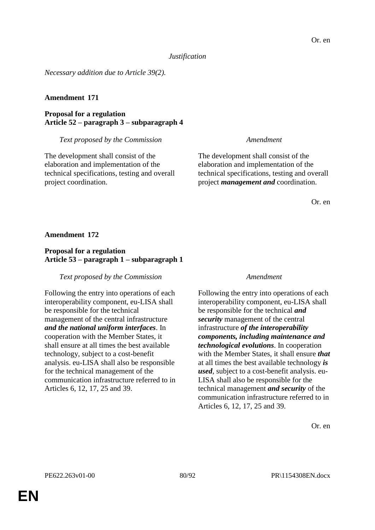## *Justification*

*Necessary addition due to Article 39(2).*

# **Amendment 171**

**Proposal for a regulation Article 52 – paragraph 3 – subparagraph 4**

*Text proposed by the Commission Amendment*

The development shall consist of the elaboration and implementation of the technical specifications, testing and overall project coordination.

The development shall consist of the elaboration and implementation of the technical specifications, testing and overall project *management and* coordination.

Or. en

## **Amendment 172**

# **Proposal for a regulation Article 53 – paragraph 1 – subparagraph 1**

*Text proposed by the Commission Amendment*

Following the entry into operations of each interoperability component, eu-LISA shall be responsible for the technical management of the central infrastructure *and the national uniform interfaces*. In cooperation with the Member States, it shall ensure at all times the best available technology, subject to a cost-benefit analysis. eu-LISA shall also be responsible for the technical management of the communication infrastructure referred to in Articles 6, 12, 17, 25 and 39.

Following the entry into operations of each interoperability component, eu-LISA shall be responsible for the technical *and security* management of the central infrastructure *of the interoperability components, including maintenance and technological evolutions*. In cooperation with the Member States, it shall ensure *that* at all times the best available technology *is used*, subject to a cost-benefit analysis. eu-LISA shall also be responsible for the technical management *and security* of the communication infrastructure referred to in Articles 6, 12, 17, 25 and 39.

Or. en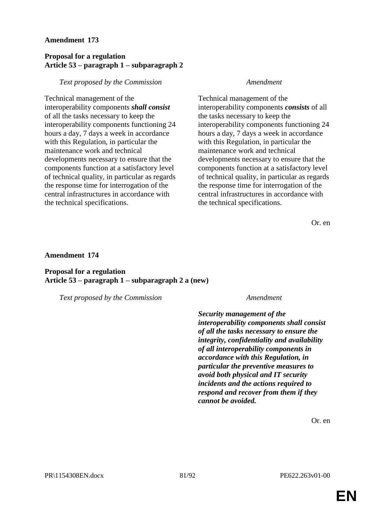## **Proposal for a regulation Article 53 – paragraph 1 – subparagraph 2**

*Text proposed by the Commission Amendment*

Technical management of the interoperability components *shall consist* of all the tasks necessary to keep the interoperability components functioning 24 hours a day, 7 days a week in accordance with this Regulation, in particular the maintenance work and technical developments necessary to ensure that the components function at a satisfactory level of technical quality, in particular as regards the response time for interrogation of the central infrastructures in accordance with the technical specifications.

Technical management of the interoperability components *consists* of all the tasks necessary to keep the interoperability components functioning 24 hours a day, 7 days a week in accordance with this Regulation, in particular the maintenance work and technical developments necessary to ensure that the components function at a satisfactory level of technical quality, in particular as regards the response time for interrogation of the central infrastructures in accordance with the technical specifications.

Or. en

## **Amendment 174**

**Proposal for a regulation Article 53 – paragraph 1 – subparagraph 2 a (new)**

*Text proposed by the Commission Amendment*

*Security management of the interoperability components shall consist of all the tasks necessary to ensure the integrity, confidentiality and availability of all interoperability components in accordance with this Regulation, in particular the preventive measures to avoid both physical and IT security incidents and the actions required to respond and recover from them if they cannot be avoided.*

Or. en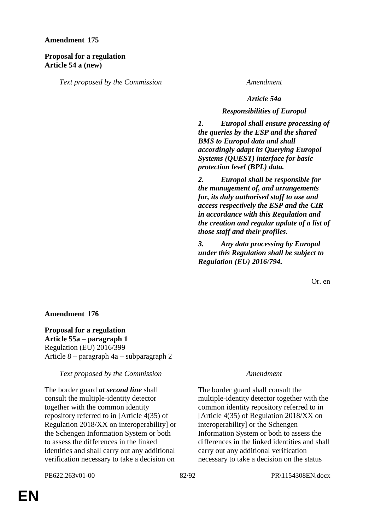## **Proposal for a regulation Article 54 a (new)**

*Text proposed by the Commission Amendment*

*Article 54a*

*Responsibilities of Europol*

*1. Europol shall ensure processing of the queries by the ESP and the shared BMS to Europol data and shall accordingly adapt its Querying Europol Systems (QUEST) interface for basic protection level (BPL) data.*

*2. Europol shall be responsible for the management of, and arrangements for, its duly authorised staff to use and access respectively the ESP and the CIR in accordance with this Regulation and the creation and regular update of a list of those staff and their profiles.*

*3. Any data processing by Europol under this Regulation shall be subject to Regulation (EU) 2016/794.*

Or. en

## **Amendment 176**

**Proposal for a regulation Article 55a – paragraph 1**  Regulation (EU) 2016/399 Article 8 – paragraph 4a – subparagraph 2

*Text proposed by the Commission Amendment*

The border guard *at second line* shall consult the multiple-identity detector together with the common identity repository referred to in [Article 4(35) of Regulation 2018/XX on interoperability] or the Schengen Information System or both to assess the differences in the linked identities and shall carry out any additional verification necessary to take a decision on

The border guard shall consult the multiple-identity detector together with the common identity repository referred to in [Article 4(35) of Regulation 2018/XX on interoperability] or the Schengen Information System or both to assess the differences in the linked identities and shall carry out any additional verification necessary to take a decision on the status

## PE622.263v01-00 82/92 PR\1154308EN.docx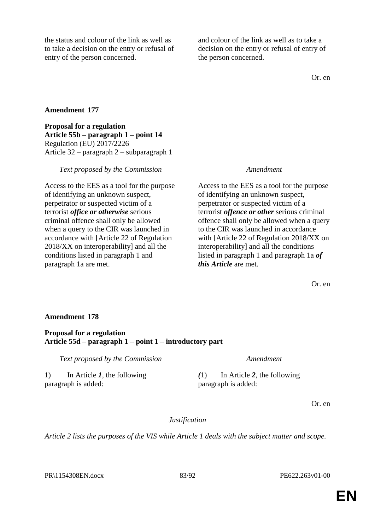the status and colour of the link as well as to take a decision on the entry or refusal of entry of the person concerned.

and colour of the link as well as to take a decision on the entry or refusal of entry of the person concerned.

Or. en

# **Amendment 177**

**Proposal for a regulation Article 55b – paragraph 1 – point 14** Regulation (EU) 2017/2226 Article 32 – paragraph 2 – subparagraph 1

### *Text proposed by the Commission Amendment*

Access to the EES as a tool for the purpose of identifying an unknown suspect, perpetrator or suspected victim of a terrorist *office or otherwise* serious criminal offence shall only be allowed when a query to the CIR was launched in accordance with [Article 22 of Regulation 2018/XX on interoperability] and all the conditions listed in paragraph 1 and paragraph 1a are met.

Access to the EES as a tool for the purpose of identifying an unknown suspect, perpetrator or suspected victim of a terrorist *offence or other* serious criminal offence shall only be allowed when a query to the CIR was launched in accordance with [Article 22 of Regulation 2018/XX on interoperability] and all the conditions listed in paragraph 1 and paragraph 1a *of this Article* are met.

Or. en

## **Amendment 178**

### **Proposal for a regulation Article 55d – paragraph 1 – point 1 – introductory part**

*Text proposed by the Commission Amendment*

1) In Article *1*, the following paragraph is added:

*(*1) In Article *2*, the following paragraph is added:

Or. en

*Justification*

*Article 2 lists the purposes of the VIS while Article 1 deals with the subject matter and scope.*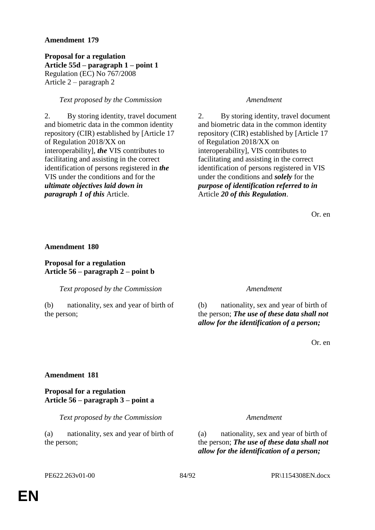**Proposal for a regulation Article 55d – paragraph 1 – point 1** Regulation (EC) No 767/2008 Article 2 – paragraph 2

## *Text proposed by the Commission Amendment*

2. By storing identity, travel document and biometric data in the common identity repository (CIR) established by [Article 17 of Regulation 2018/XX on interoperability], *the* VIS contributes to facilitating and assisting in the correct identification of persons registered in *the* VIS under the conditions and for the *ultimate objectives laid down in paragraph 1 of this* Article.

2. By storing identity, travel document and biometric data in the common identity repository (CIR) established by [Article 17 of Regulation 2018/XX on interoperability], VIS contributes to facilitating and assisting in the correct identification of persons registered in VIS under the conditions and *solely* for the *purpose of identification referred to in* Article *20 of this Regulation*.

Or. en

### **Amendment 180**

### **Proposal for a regulation Article 56 – paragraph 2 – point b**

*Text proposed by the Commission Amendment*

(b) nationality, sex and year of birth of the person;

(b) nationality, sex and year of birth of the person; *The use of these data shall not allow for the identification of a person;*

Or. en

## **Amendment 181**

**Proposal for a regulation Article 56 – paragraph 3 – point a**

*Text proposed by the Commission Amendment*

(a) nationality, sex and year of birth of the person;

(a) nationality, sex and year of birth of the person; *The use of these data shall not allow for the identification of a person;*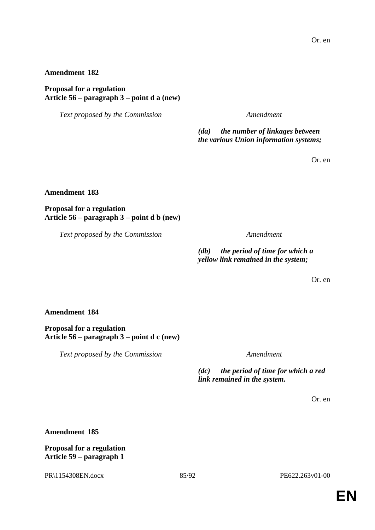**Proposal for a regulation Article 56 – paragraph 3 – point d a (new)**

*Text proposed by the Commission Amendment*

*(da) the number of linkages between the various Union information systems;*

Or. en

**Amendment 183**

**Proposal for a regulation Article 56 – paragraph 3 – point d b (new)**

*Text proposed by the Commission Amendment*

*(db) the period of time for which a yellow link remained in the system;*

Or. en

**Amendment 184**

**Proposal for a regulation Article 56 – paragraph 3 – point d c (new)**

*Text proposed by the Commission Amendment*

*(dc) the period of time for which a red link remained in the system.*

Or. en

**Amendment 185**

**Proposal for a regulation Article 59 – paragraph 1**

PR\1154308EN.docx 85/92 PE622.263v01-00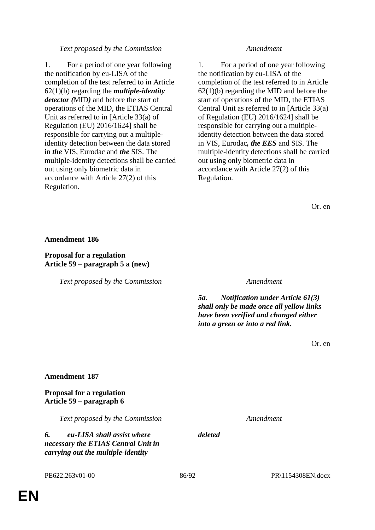## *Text proposed by the Commission Amendment*

1. For a period of one year following the notification by eu-LISA of the completion of the test referred to in Article 62(1)(b) regarding the *multiple-identity detector (*MID*)* and before the start of operations of the MID, the ETIAS Central Unit as referred to in [Article 33(a) of Regulation (EU) 2016/1624] shall be responsible for carrying out a multipleidentity detection between the data stored in *the* VIS, Eurodac and *the* SIS. The multiple-identity detections shall be carried out using only biometric data in accordance with Article 27(2) of this Regulation.

1. For a period of one year following the notification by eu-LISA of the completion of the test referred to in Article 62(1)(b) regarding the MID and before the start of operations of the MID, the ETIAS Central Unit as referred to in [Article 33(a) of Regulation (EU) 2016/1624] shall be responsible for carrying out a multipleidentity detection between the data stored in VIS, Eurodac*, the EES* and SIS. The multiple-identity detections shall be carried out using only biometric data in accordance with Article 27(2) of this Regulation.

Or. en

### **Amendment 186**

**Proposal for a regulation Article 59 – paragraph 5 a (new)**

*Text proposed by the Commission Amendment*

*5a. Notification under Article 61(3) shall only be made once all yellow links have been verified and changed either into a green or into a red link.*

Or. en

## **Amendment 187**

**Proposal for a regulation Article 59 – paragraph 6**

*Text proposed by the Commission Amendment*

*6. eu-LISA shall assist where necessary the ETIAS Central Unit in carrying out the multiple-identity* 

*deleted*

PE622.263v01-00 86/92 PR\1154308EN.docx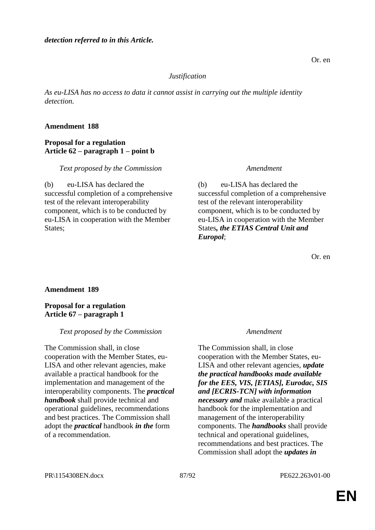## *Justification*

*As eu-LISA has no access to data it cannot assist in carrying out the multiple identity detection.*

### **Amendment 188**

## **Proposal for a regulation Article 62 – paragraph 1 – point b**

*Text proposed by the Commission Amendment*

(b) eu-LISA has declared the successful completion of a comprehensive test of the relevant interoperability component, which is to be conducted by eu-LISA in cooperation with the Member States;

(b) eu-LISA has declared the successful completion of a comprehensive test of the relevant interoperability component, which is to be conducted by eu-LISA in cooperation with the Member States*, the ETIAS Central Unit and Europol*;

Or. en

## **Amendment 189**

# **Proposal for a regulation Article 67 – paragraph 1**

### *Text proposed by the Commission Amendment*

The Commission shall, in close cooperation with the Member States, eu-LISA and other relevant agencies, make available a practical handbook for the implementation and management of the interoperability components. The *practical handbook* shall provide technical and operational guidelines, recommendations and best practices. The Commission shall adopt the *practical* handbook *in the* form of a recommendation.

The Commission shall, in close cooperation with the Member States, eu-LISA and other relevant agencies, *update the practical handbooks made available for the EES, VIS, [ETIAS], Eurodac, SIS and [ECRIS-TCN] with information necessary and* make available a practical handbook for the implementation and management of the interoperability components. The *handbooks* shall provide technical and operational guidelines, recommendations and best practices. The Commission shall adopt the *updates in*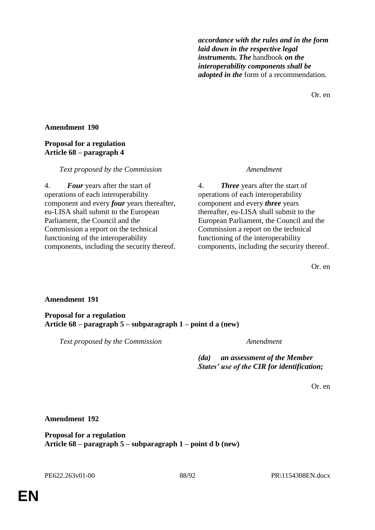*accordance with the rules and in the form laid down in the respective legal instruments. The* handbook *on the interoperability components shall be adopted in the* form of a recommendation.

Or. en

## **Amendment 190**

# **Proposal for a regulation Article 68 – paragraph 4**

### *Text proposed by the Commission Amendment*

4. *Four* years after the start of operations of each interoperability component and every *four* years thereafter, eu-LISA shall submit to the European Parliament, the Council and the Commission a report on the technical functioning of the interoperability components, including the security thereof.

4. *Three* years after the start of operations of each interoperability component and every *three* years thereafter, eu-LISA shall submit to the European Parliament, the Council and the Commission a report on the technical functioning of the interoperability components, including the security thereof.

Or. en

## **Amendment 191**

**Proposal for a regulation Article 68 – paragraph 5 – subparagraph 1 – point d a (new)**

*Text proposed by the Commission Amendment*

*(da) an assessment of the Member States' use of the CIR for identification;*

Or. en

**Amendment 192**

**Proposal for a regulation Article 68 – paragraph 5 – subparagraph 1 – point d b (new)**

PE622.263v01-00 88/92 PR\1154308EN.docx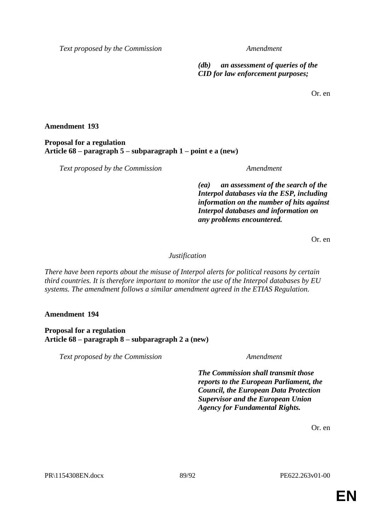*Text proposed by the Commission Amendment*

*(db) an assessment of queries of the CID for law enforcement purposes;*

Or. en

# **Amendment 193**

**Proposal for a regulation Article 68 – paragraph 5 – subparagraph 1 – point e a (new)**

*Text proposed by the Commission Amendment*

*(ea) an assessment of the search of the Interpol databases via the ESP, including information on the number of hits against Interpol databases and information on any problems encountered.*

Or. en

*Justification*

*There have been reports about the misuse of Interpol alerts for political reasons by certain third countries. It is therefore important to monitor the use of the Interpol databases by EU systems. The amendment follows a similar amendment agreed in the ETIAS Regulation.*

**Amendment 194**

**Proposal for a regulation Article 68 – paragraph 8 – subparagraph 2 a (new)**

*Text proposed by the Commission Amendment*

*The Commission shall transmit those reports to the European Parliament, the Council, the European Data Protection Supervisor and the European Union Agency for Fundamental Rights.*

Or. en

PR\1154308EN.docx 89/92 PE622.263v01-00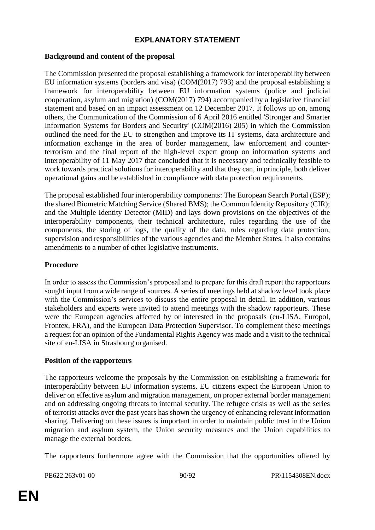# **EXPLANATORY STATEMENT**

# **Background and content of the proposal**

The Commission presented the proposal establishing a framework for interoperability between EU information systems (borders and visa) (COM(2017) 793) and the proposal establishing a framework for interoperability between EU information systems (police and judicial cooperation, asylum and migration) (COM(2017) 794) accompanied by a legislative financial statement and based on an impact assessment on 12 December 2017. It follows up on, among others, the Communication of the Commission of 6 April 2016 entitled 'Stronger and Smarter Information Systems for Borders and Security' (COM(2016) 205) in which the Commission outlined the need for the EU to strengthen and improve its IT systems, data architecture and information exchange in the area of border management, law enforcement and counterterrorism and the final report of the high-level expert group on information systems and interoperability of 11 May 2017 that concluded that it is necessary and technically feasible to work towards practical solutions for interoperability and that they can, in principle, both deliver operational gains and be established in compliance with data protection requirements.

The proposal established four interoperability components: The European Search Portal (ESP); the shared Biometric Matching Service (Shared BMS); the Common Identity Repository (CIR); and the Multiple Identity Detector (MID) and lays down provisions on the objectives of the interoperability components, their technical architecture, rules regarding the use of the components, the storing of logs, the quality of the data, rules regarding data protection, supervision and responsibilities of the various agencies and the Member States. It also contains amendments to a number of other legislative instruments.

# **Procedure**

In order to assess the Commission's proposal and to prepare for this draft report the rapporteurs sought input from a wide range of sources. A series of meetings held at shadow level took place with the Commission's services to discuss the entire proposal in detail. In addition, various stakeholders and experts were invited to attend meetings with the shadow rapporteurs. These were the European agencies affected by or interested in the proposals (eu-LISA, Europol, Frontex, FRA), and the European Data Protection Supervisor. To complement these meetings a request for an opinion of the Fundamental Rights Agency was made and a visit to the technical site of eu-LISA in Strasbourg organised.

# **Position of the rapporteurs**

The rapporteurs welcome the proposals by the Commission on establishing a framework for interoperability between EU information systems. EU citizens expect the European Union to deliver on effective asylum and migration management, on proper external border management and on addressing ongoing threats to internal security. The refugee crisis as well as the series of terrorist attacks over the past years has shown the urgency of enhancing relevant information sharing. Delivering on these issues is important in order to maintain public trust in the Union migration and asylum system, the Union security measures and the Union capabilities to manage the external borders.

The rapporteurs furthermore agree with the Commission that the opportunities offered by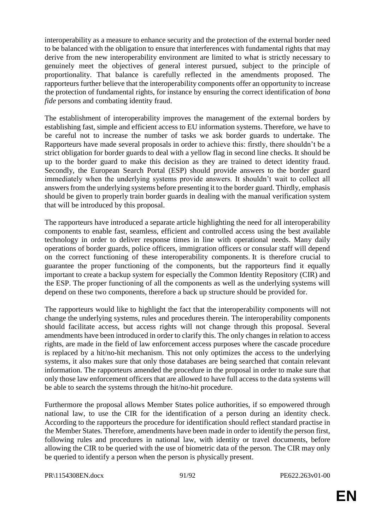interoperability as a measure to enhance security and the protection of the external border need to be balanced with the obligation to ensure that interferences with fundamental rights that may derive from the new interoperability environment are limited to what is strictly necessary to genuinely meet the objectives of general interest pursued, subject to the principle of proportionality. That balance is carefully reflected in the amendments proposed. The rapporteurs further believe that the interoperability components offer an opportunity to increase the protection of fundamental rights, for instance by ensuring the correct identification of *bona fide* persons and combating identity fraud.

The establishment of interoperability improves the management of the external borders by establishing fast, simple and efficient access to EU information systems. Therefore, we have to be careful not to increase the number of tasks we ask border guards to undertake. The Rapporteurs have made several proposals in order to achieve this: firstly, there shouldn't be a strict obligation for border guards to deal with a yellow flag in second line checks. It should be up to the border guard to make this decision as they are trained to detect identity fraud. Secondly, the European Search Portal (ESP) should provide answers to the border guard immediately when the underlying systems provide answers. It shouldn't wait to collect all answers from the underlying systems before presenting it to the border guard. Thirdly, emphasis should be given to properly train border guards in dealing with the manual verification system that will be introduced by this proposal.

The rapporteurs have introduced a separate article highlighting the need for all interoperability components to enable fast, seamless, efficient and controlled access using the best available technology in order to deliver response times in line with operational needs. Many daily operations of border guards, police officers, immigration officers or consular staff will depend on the correct functioning of these interoperability components. It is therefore crucial to guarantee the proper functioning of the components, but the rapporteurs find it equally important to create a backup system for especially the Common Identity Repository (CIR) and the ESP. The proper functioning of all the components as well as the underlying systems will depend on these two components, therefore a back up structure should be provided for.

The rapporteurs would like to highlight the fact that the interoperability components will not change the underlying systems, rules and procedures therein. The interoperability components should facilitate access, but access rights will not change through this proposal. Several amendments have been introduced in order to clarify this. The only changes in relation to access rights, are made in the field of law enforcement access purposes where the cascade procedure is replaced by a hit/no-hit mechanism. This not only optimizes the access to the underlying systems, it also makes sure that only those databases are being searched that contain relevant information. The rapporteurs amended the procedure in the proposal in order to make sure that only those law enforcement officers that are allowed to have full access to the data systems will be able to search the systems through the hit/no-hit procedure.

Furthermore the proposal allows Member States police authorities, if so empowered through national law, to use the CIR for the identification of a person during an identity check. According to the rapporteurs the procedure for identification should reflect standard practise in the Member States. Therefore, amendments have been made in order to identify the person first, following rules and procedures in national law, with identity or travel documents, before allowing the CIR to be queried with the use of biometric data of the person. The CIR may only be queried to identify a person when the person is physically present.

```
PR\1154308EN.docx 91/92 PE622.263v01-00
```